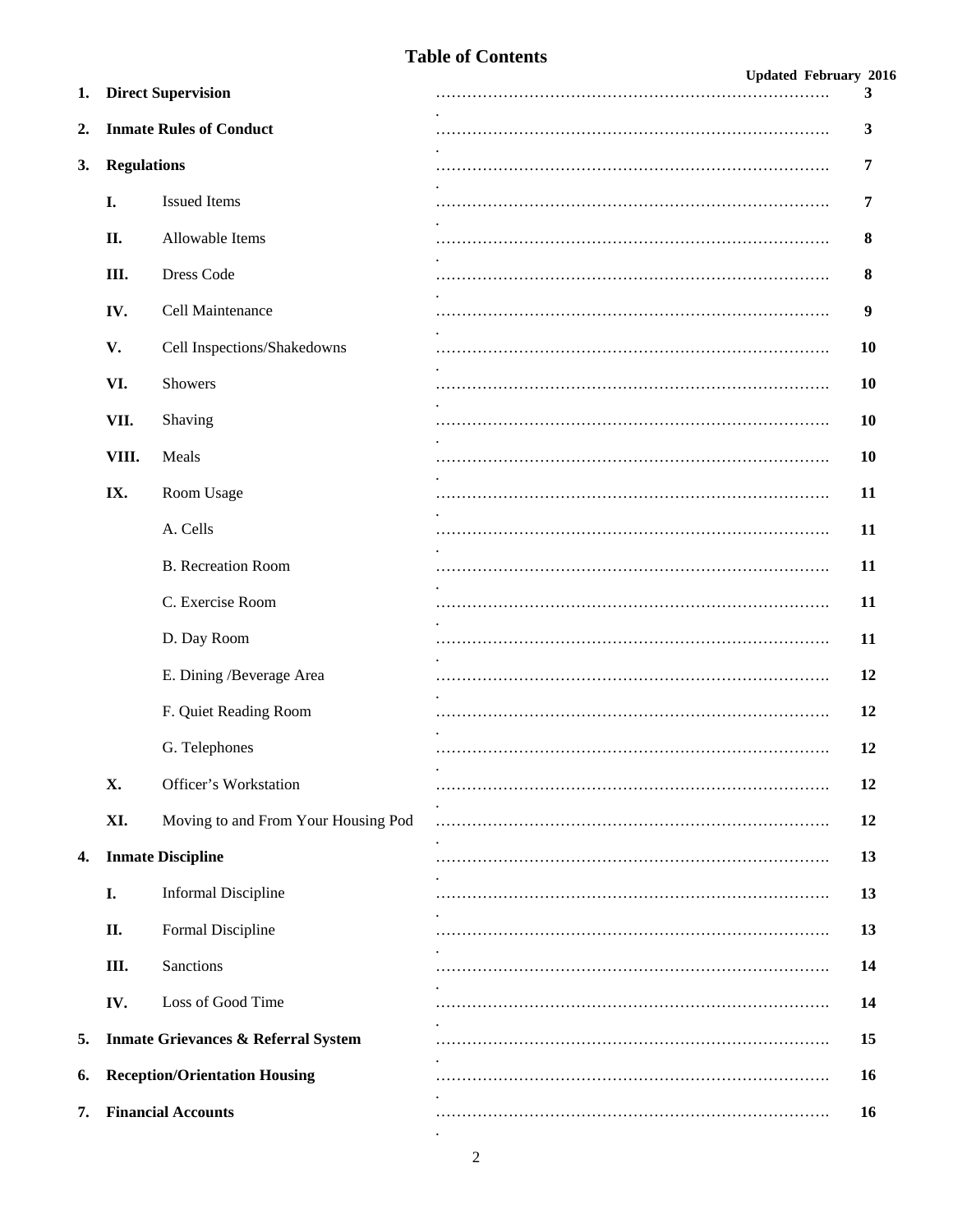## **Table of Contents**

#### **Updated February 2016**

| 1.               | <b>Direct Supervision</b> |                                                | 3         |
|------------------|---------------------------|------------------------------------------------|-----------|
| $\overline{2}$ . |                           | <b>Inmate Rules of Conduct</b>                 | 3         |
| 3.               | <b>Regulations</b>        |                                                | 7         |
|                  | I.                        | <b>Issued Items</b>                            | 7         |
|                  | П.                        | Allowable Items                                | 8         |
|                  | III.                      | Dress Code                                     | 8         |
|                  | IV.                       | Cell Maintenance                               | 9         |
|                  | V.                        | Cell Inspections/Shakedowns                    | <b>10</b> |
|                  | VI.                       | Showers                                        | <b>10</b> |
|                  | VII.                      | Shaving                                        | <b>10</b> |
|                  | VIII.                     | Meals                                          | <b>10</b> |
|                  | IX.                       | Room Usage                                     | 11        |
|                  |                           | A. Cells                                       | 11        |
|                  |                           | <b>B.</b> Recreation Room                      | 11        |
|                  |                           | C. Exercise Room                               | 11        |
|                  |                           | D. Day Room                                    | 11        |
|                  |                           | E. Dining /Beverage Area                       | 12        |
|                  |                           | F. Quiet Reading Room                          | 12        |
|                  |                           | G. Telephones                                  | 12        |
|                  | X.                        | Officer's Workstation                          | 12        |
|                  | XI.                       | Moving to and From Your Housing Pod            | 12        |
| 4.               |                           | <b>Inmate Discipline</b>                       | 13        |
|                  | I.                        | <b>Informal Discipline</b>                     | 13        |
|                  | II.                       | Formal Discipline                              | 13        |
|                  | III.                      | Sanctions                                      | 14        |
|                  | IV.                       | Loss of Good Time                              | 14        |
| 5.               |                           | <b>Inmate Grievances &amp; Referral System</b> | 15        |
| 6.               |                           | <b>Reception/Orientation Housing</b>           | 16        |
| 7.               |                           | <b>Financial Accounts</b>                      | 16        |

.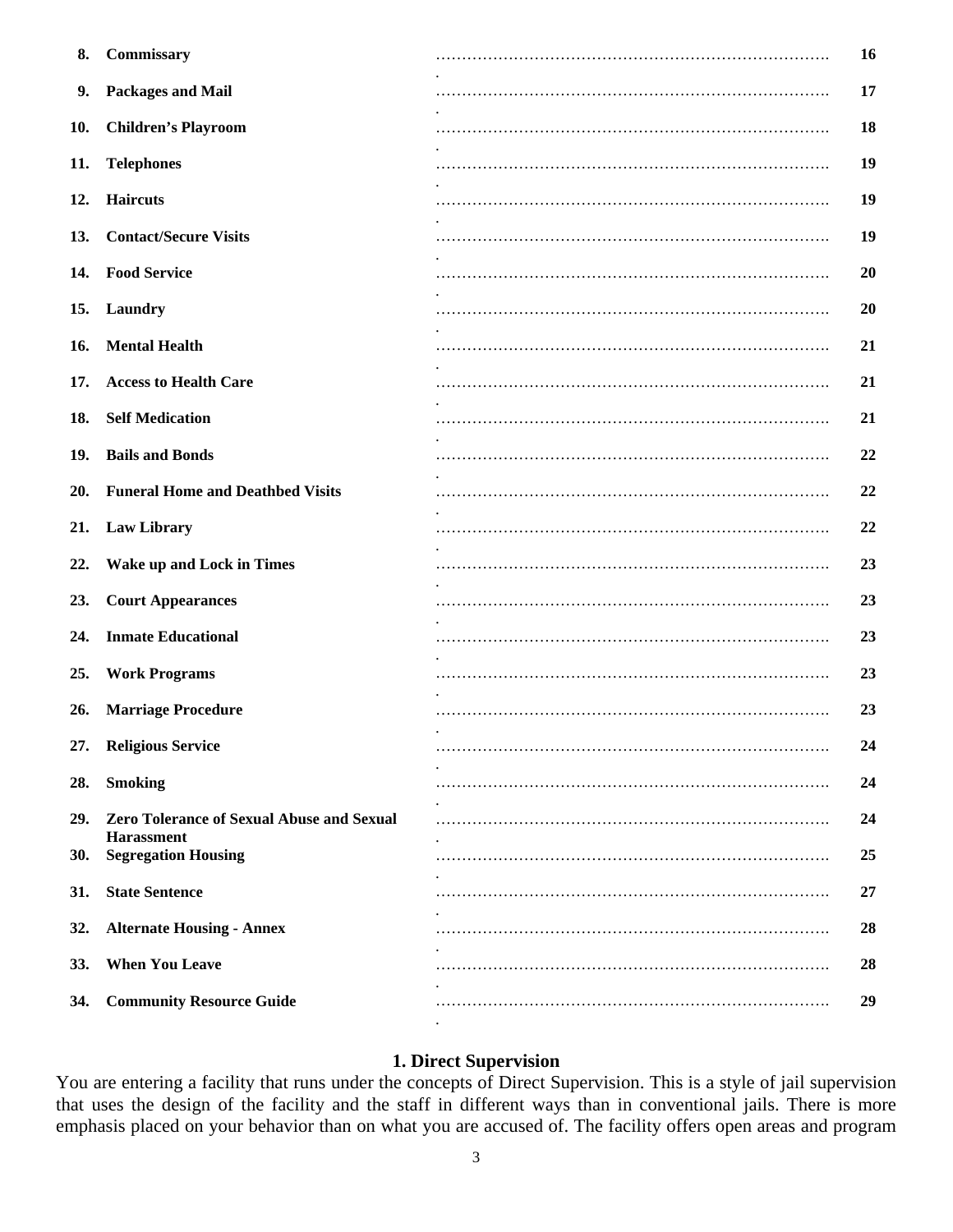| 8.  | Commissary                                                            | 16 |
|-----|-----------------------------------------------------------------------|----|
| 9.  | <b>Packages and Mail</b>                                              | 17 |
| 10. | <b>Children's Playroom</b>                                            | 18 |
| 11. | <b>Telephones</b>                                                     | 19 |
| 12. | <b>Haircuts</b>                                                       | 19 |
|     | 13. Contact/Secure Visits                                             | 19 |
|     | 14. Food Service                                                      | 20 |
|     | 15. Laundry                                                           | 20 |
|     | 16. Mental Health                                                     | 21 |
| 17. | <b>Access to Health Care</b>                                          | 21 |
| 18. | <b>Self Medication</b>                                                | 21 |
| 19. | <b>Bails and Bonds</b>                                                | 22 |
| 20. | <b>Funeral Home and Deathbed Visits</b>                               | 22 |
| 21. | <b>Law Library</b>                                                    | 22 |
| 22. | <b>Wake up and Lock in Times</b>                                      | 23 |
| 23. | <b>Court Appearances</b>                                              | 23 |
| 24. | <b>Inmate Educational</b>                                             | 23 |
| 25. | <b>Work Programs</b>                                                  | 23 |
| 26. | <b>Marriage Procedure</b>                                             | 23 |
|     | 27. Religious Service                                                 | 24 |
| 28. | <b>Smoking</b>                                                        | 24 |
| 29. | <b>Zero Tolerance of Sexual Abuse and Sexual</b><br><b>Harassment</b> | 24 |
| 30. | <b>Segregation Housing</b>                                            | 25 |
| 31. | <b>State Sentence</b>                                                 | 27 |
| 32. | <b>Alternate Housing - Annex</b>                                      | 28 |
| 33. | <b>When You Leave</b>                                                 | 28 |
| 34. | <b>Community Resource Guide</b>                                       | 29 |
|     |                                                                       |    |

#### **1. Direct Supervision**

You are entering a facility that runs under the concepts of Direct Supervision. This is a style of jail supervision that uses the design of the facility and the staff in different ways than in conventional jails. There is more emphasis placed on your behavior than on what you are accused of. The facility offers open areas and program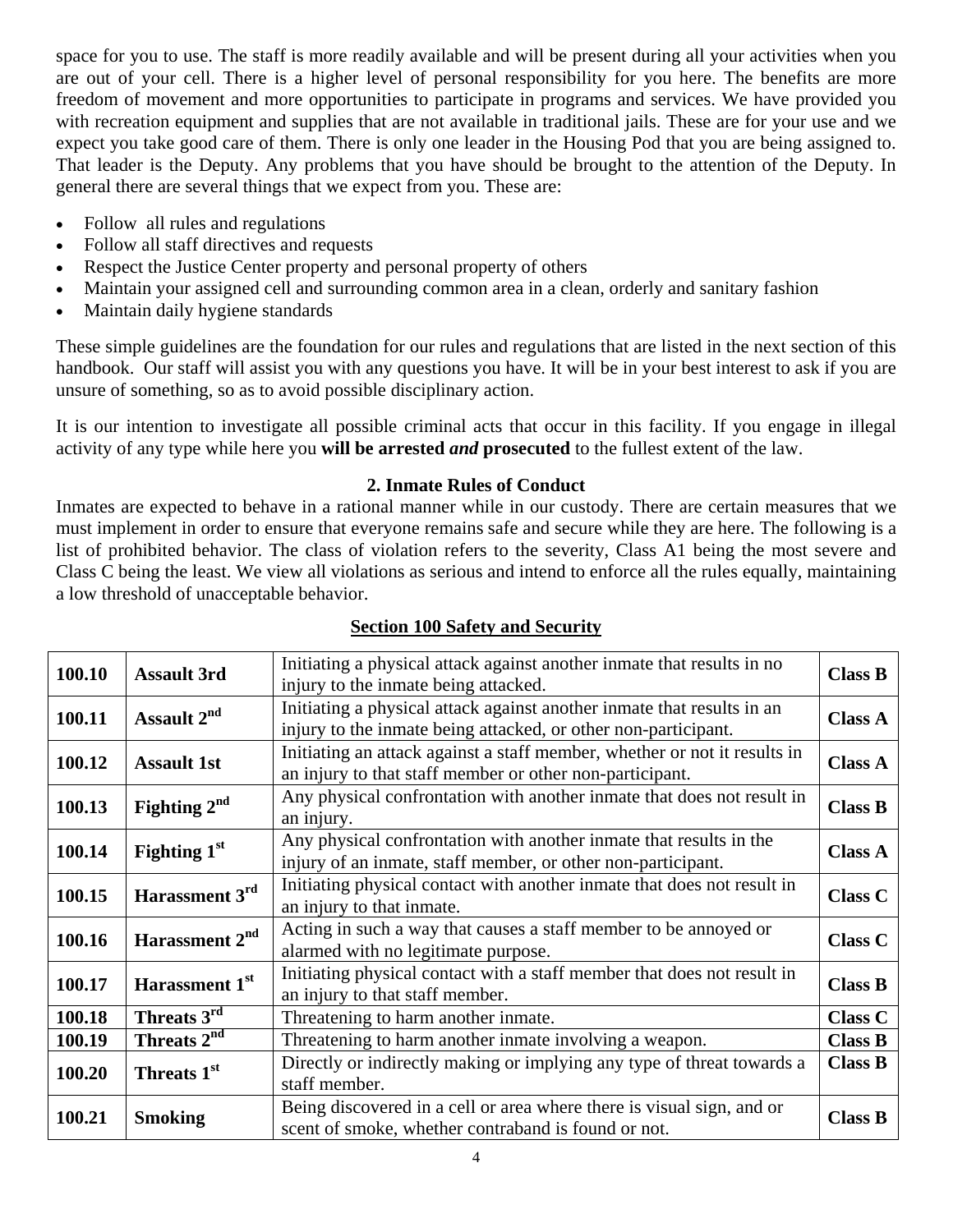space for you to use. The staff is more readily available and will be present during all your activities when you are out of your cell. There is a higher level of personal responsibility for you here. The benefits are more freedom of movement and more opportunities to participate in programs and services. We have provided you with recreation equipment and supplies that are not available in traditional jails. These are for your use and we expect you take good care of them. There is only one leader in the Housing Pod that you are being assigned to. That leader is the Deputy. Any problems that you have should be brought to the attention of the Deputy. In general there are several things that we expect from you. These are:

- Follow all rules and regulations
- Follow all staff directives and requests
- Respect the Justice Center property and personal property of others
- Maintain your assigned cell and surrounding common area in a clean, orderly and sanitary fashion
- Maintain daily hygiene standards

These simple guidelines are the foundation for our rules and regulations that are listed in the next section of this handbook. Our staff will assist you with any questions you have. It will be in your best interest to ask if you are unsure of something, so as to avoid possible disciplinary action.

It is our intention to investigate all possible criminal acts that occur in this facility. If you engage in illegal activity of any type while here you **will be arrested** *and* **prosecuted** to the fullest extent of the law.

## **2. Inmate Rules of Conduct**

Inmates are expected to behave in a rational manner while in our custody. There are certain measures that we must implement in order to ensure that everyone remains safe and secure while they are here. The following is a list of prohibited behavior. The class of violation refers to the severity, Class A1 being the most severe and Class C being the least. We view all violations as serious and intend to enforce all the rules equally, maintaining a low threshold of unacceptable behavior.

| 100.10 | <b>Assault 3rd</b>         | Initiating a physical attack against another inmate that results in no<br>injury to the inmate being attacked.                           | <b>Class B</b> |
|--------|----------------------------|------------------------------------------------------------------------------------------------------------------------------------------|----------------|
| 100.11 | Assault 2 <sup>nd</sup>    | Initiating a physical attack against another inmate that results in an<br>injury to the inmate being attacked, or other non-participant. | <b>Class A</b> |
| 100.12 | <b>Assault 1st</b>         | Initiating an attack against a staff member, whether or not it results in<br>an injury to that staff member or other non-participant.    | <b>Class A</b> |
| 100.13 | Fighting $2nd$             | Any physical confrontation with another inmate that does not result in<br>an injury.                                                     | <b>Class B</b> |
| 100.14 | Fighting $1st$             | Any physical confrontation with another inmate that results in the<br>injury of an inmate, staff member, or other non-participant.       | <b>Class A</b> |
| 100.15 | Harassment 3rd             | Initiating physical contact with another inmate that does not result in<br>an injury to that inmate.                                     | <b>Class C</b> |
| 100.16 | Harassment 2 <sup>nd</sup> | Acting in such a way that causes a staff member to be annoyed or<br>alarmed with no legitimate purpose.                                  | <b>Class C</b> |
| 100.17 | Harassment 1 <sup>st</sup> | Initiating physical contact with a staff member that does not result in<br>an injury to that staff member.                               | <b>Class B</b> |
| 100.18 | Threats 3rd                | Threatening to harm another inmate.                                                                                                      | <b>Class C</b> |
| 100.19 | Threats 2 <sup>nd</sup>    | Threatening to harm another inmate involving a weapon.                                                                                   | <b>Class B</b> |
| 100.20 | Threats 1 <sup>st</sup>    | Directly or indirectly making or implying any type of threat towards a<br>staff member.                                                  | <b>Class B</b> |
| 100.21 | <b>Smoking</b>             | Being discovered in a cell or area where there is visual sign, and or<br>scent of smoke, whether contraband is found or not.             | <b>Class B</b> |

# **Section 100 Safety and Security**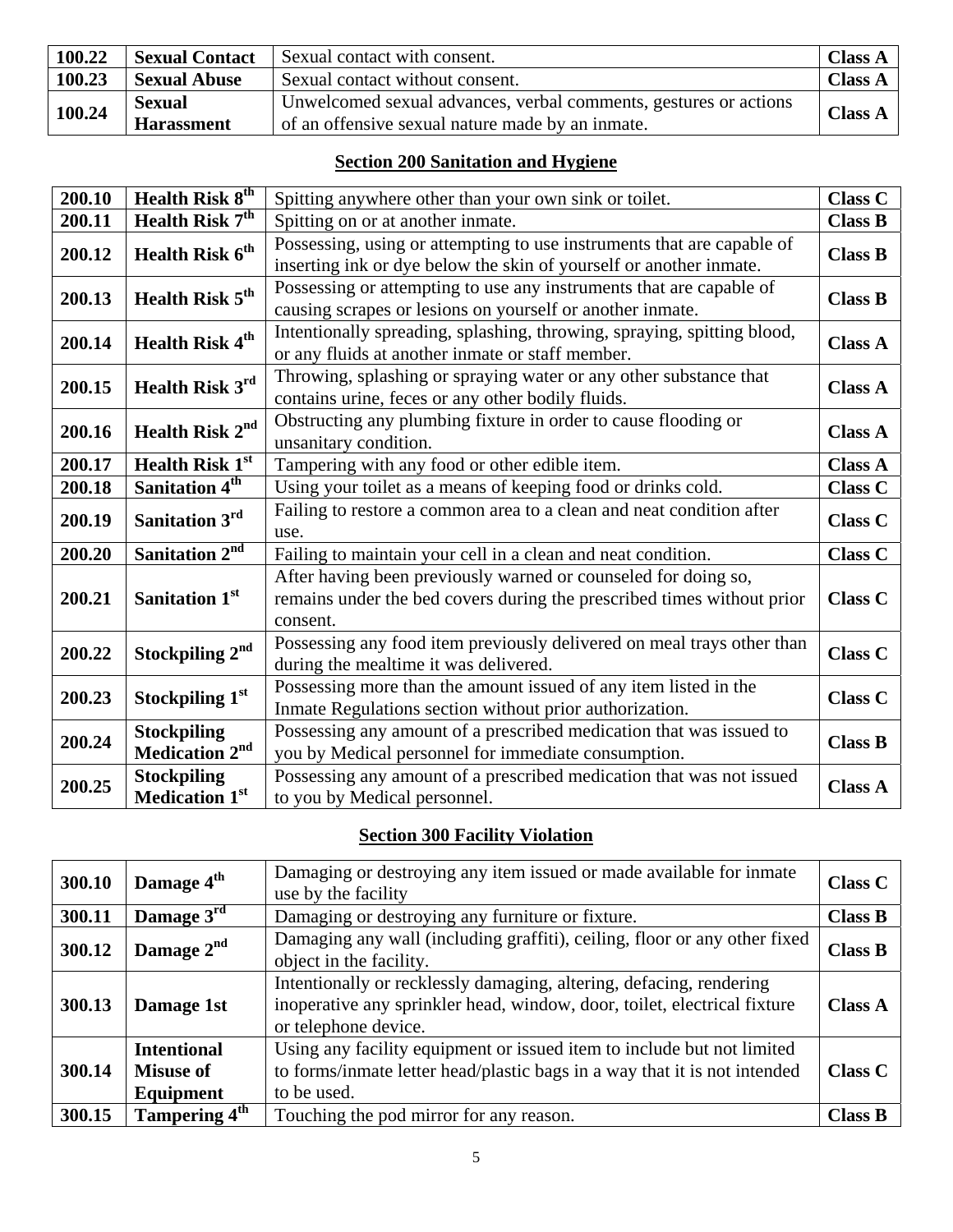| 100.22 | <b>Sexual Contact</b> | Sexual contact with consent.                                     | <b>Class A</b> |
|--------|-----------------------|------------------------------------------------------------------|----------------|
| 100.23 | <b>Sexual Abuse</b>   | Sexual contact without consent.                                  | <b>Class A</b> |
| 100.24 | <b>Sexual</b>         | Unwelcomed sexual advances, verbal comments, gestures or actions | <b>Class A</b> |
|        | <b>Harassment</b>     | of an offensive sexual nature made by an inmate.                 |                |

## **Section 200 Sanitation and Hygiene**

| 200.10 | Health Risk 8 <sup>th</sup>                      | Spitting anywhere other than your own sink or toilet.                                                                                                | Class C        |
|--------|--------------------------------------------------|------------------------------------------------------------------------------------------------------------------------------------------------------|----------------|
| 200.11 | <b>Health Risk 7<sup>th</sup></b>                | Spitting on or at another inmate.                                                                                                                    | <b>Class B</b> |
| 200.12 | Health Risk 6 <sup>th</sup>                      | Possessing, using or attempting to use instruments that are capable of<br>inserting ink or dye below the skin of yourself or another inmate.         | <b>Class B</b> |
| 200.13 | Health Risk 5 <sup>th</sup>                      | Possessing or attempting to use any instruments that are capable of<br>causing scrapes or lesions on yourself or another inmate.                     | <b>Class B</b> |
| 200.14 | Health Risk 4 <sup>th</sup>                      | Intentionally spreading, splashing, throwing, spraying, spitting blood,<br>or any fluids at another inmate or staff member.                          | <b>Class A</b> |
| 200.15 | Health Risk 3rd                                  | Throwing, splashing or spraying water or any other substance that<br>contains urine, feces or any other bodily fluids.                               | <b>Class A</b> |
| 200.16 | Health Risk 2 <sup>nd</sup>                      | Obstructing any plumbing fixture in order to cause flooding or<br>unsanitary condition.                                                              | <b>Class A</b> |
| 200.17 | <b>Health Risk 1st</b>                           | Tampering with any food or other edible item.                                                                                                        | <b>Class A</b> |
| 200.18 | Sanitation 4 <sup>th</sup>                       | Using your toilet as a means of keeping food or drinks cold.                                                                                         | <b>Class C</b> |
| 200.19 | Sanitation 3rd                                   | Failing to restore a common area to a clean and neat condition after<br>use.                                                                         | <b>Class C</b> |
| 200.20 | Sanitation 2 <sup>nd</sup>                       | Failing to maintain your cell in a clean and neat condition.                                                                                         | <b>Class C</b> |
| 200.21 | Sanitation 1 <sup>st</sup>                       | After having been previously warned or counseled for doing so,<br>remains under the bed covers during the prescribed times without prior<br>consent. | Class C        |
| 200.22 | Stockpiling 2 <sup>nd</sup>                      | Possessing any food item previously delivered on meal trays other than<br>during the mealtime it was delivered.                                      | <b>Class C</b> |
| 200.23 | Stockpiling 1st                                  | Possessing more than the amount issued of any item listed in the<br>Inmate Regulations section without prior authorization.                          | <b>Class C</b> |
| 200.24 | <b>Stockpiling</b><br>Medication 2 <sup>nd</sup> | Possessing any amount of a prescribed medication that was issued to<br>you by Medical personnel for immediate consumption.                           | <b>Class B</b> |
| 200.25 | <b>Stockpiling</b><br><b>Medication 1st</b>      | Possessing any amount of a prescribed medication that was not issued<br>to you by Medical personnel.                                                 | <b>Class A</b> |

# **Section 300 Facility Violation**

| 300.10 | Damage 4 <sup>th</sup>                              | Damaging or destroying any item issued or made available for inmate<br>use by the facility                                                                              | <b>Class C</b> |
|--------|-----------------------------------------------------|-------------------------------------------------------------------------------------------------------------------------------------------------------------------------|----------------|
| 300.11 | Damage 3rd                                          | Damaging or destroying any furniture or fixture.                                                                                                                        | <b>Class B</b> |
| 300.12 | Damage 2 <sup>nd</sup>                              | Damaging any wall (including graffiti), ceiling, floor or any other fixed<br>object in the facility.                                                                    | <b>Class B</b> |
| 300.13 | Damage 1st                                          | Intentionally or recklessly damaging, altering, defacing, rendering<br>inoperative any sprinkler head, window, door, toilet, electrical fixture<br>or telephone device. | <b>Class A</b> |
| 300.14 | <b>Intentional</b><br><b>Misuse of</b><br>Equipment | Using any facility equipment or issued item to include but not limited<br>to forms/inmate letter head/plastic bags in a way that it is not intended<br>to be used.      | <b>Class C</b> |
| 300.15 | Tampering 4 <sup>th</sup>                           | Touching the pod mirror for any reason.                                                                                                                                 | <b>Class B</b> |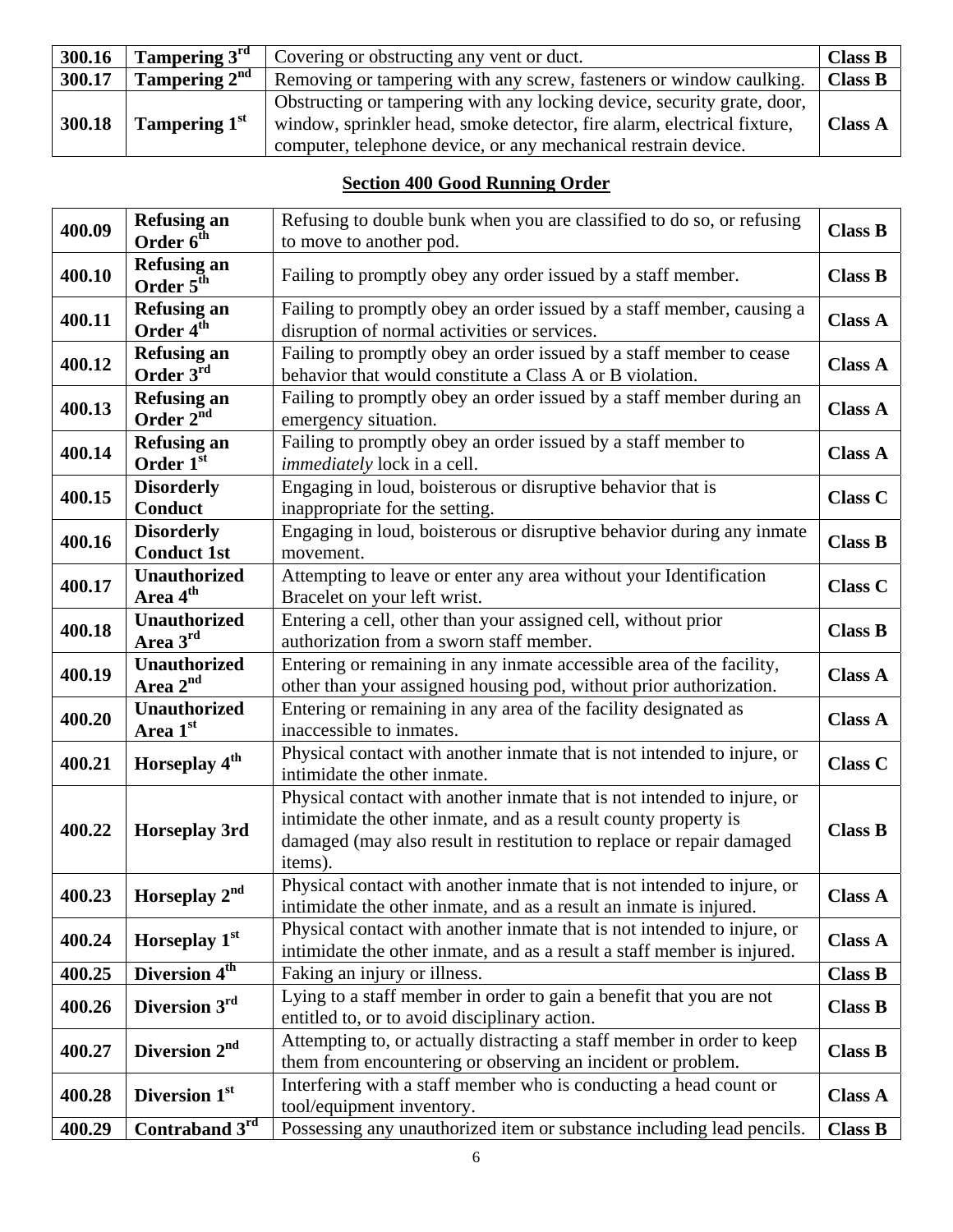| 300.16 | Tampering $3^{\text{rd}}$ | Covering or obstructing any vent or duct.                                                                                                                                                                            | <b>Class B</b> |
|--------|---------------------------|----------------------------------------------------------------------------------------------------------------------------------------------------------------------------------------------------------------------|----------------|
| 300.17 | Tampering $2^{nd}$        | Removing or tampering with any screw, fasteners or window caulking.                                                                                                                                                  | <b>Class B</b> |
| 300.18 | Tampering 1 <sup>st</sup> | Obstructing or tampering with any locking device, security grate, door,<br>window, sprinkler head, smoke detector, fire alarm, electrical fixture,<br>computer, telephone device, or any mechanical restrain device. | <b>Class A</b> |

# **Section 400 Good Running Order**

| 400.09 | <b>Refusing an</b><br>Order $6^{\text{th}}$ | Refusing to double bunk when you are classified to do so, or refusing<br>to move to another pod.                                                                                                                              | <b>Class B</b> |
|--------|---------------------------------------------|-------------------------------------------------------------------------------------------------------------------------------------------------------------------------------------------------------------------------------|----------------|
|        |                                             |                                                                                                                                                                                                                               |                |
| 400.10 | <b>Refusing an</b><br>Order $5^{\text{th}}$ | Failing to promptly obey any order issued by a staff member.                                                                                                                                                                  | <b>Class B</b> |
| 400.11 | <b>Refusing an</b><br>Order 4 <sup>th</sup> | Failing to promptly obey an order issued by a staff member, causing a<br>disruption of normal activities or services.                                                                                                         | <b>Class A</b> |
|        |                                             |                                                                                                                                                                                                                               |                |
| 400.12 | <b>Refusing an</b><br>Order 3rd             | Failing to promptly obey an order issued by a staff member to cease<br>behavior that would constitute a Class A or B violation.                                                                                               | <b>Class A</b> |
|        | <b>Refusing an</b>                          | Failing to promptly obey an order issued by a staff member during an                                                                                                                                                          |                |
| 400.13 | Order 2 <sup>nd</sup>                       | emergency situation.                                                                                                                                                                                                          | <b>Class A</b> |
| 400.14 | <b>Refusing an</b><br>Order 1st             | Failing to promptly obey an order issued by a staff member to<br><i>immediately</i> lock in a cell.                                                                                                                           | <b>Class A</b> |
|        | <b>Disorderly</b>                           | Engaging in loud, boisterous or disruptive behavior that is                                                                                                                                                                   |                |
| 400.15 | Conduct                                     | inappropriate for the setting.                                                                                                                                                                                                | <b>Class C</b> |
| 400.16 | <b>Disorderly</b>                           | Engaging in loud, boisterous or disruptive behavior during any inmate                                                                                                                                                         | <b>Class B</b> |
|        | <b>Conduct 1st</b>                          | movement.                                                                                                                                                                                                                     |                |
| 400.17 | <b>Unauthorized</b>                         | Attempting to leave or enter any area without your Identification                                                                                                                                                             | <b>Class C</b> |
|        | Area 4 <sup>th</sup>                        | Bracelet on your left wrist.                                                                                                                                                                                                  |                |
| 400.18 | <b>Unauthorized</b><br>Area 3rd             | Entering a cell, other than your assigned cell, without prior<br>authorization from a sworn staff member.                                                                                                                     | <b>Class B</b> |
|        | <b>Unauthorized</b>                         | Entering or remaining in any inmate accessible area of the facility,                                                                                                                                                          |                |
| 400.19 | Area 2 <sup>nd</sup>                        | other than your assigned housing pod, without prior authorization.                                                                                                                                                            | <b>Class A</b> |
|        | <b>Unauthorized</b>                         | Entering or remaining in any area of the facility designated as                                                                                                                                                               |                |
| 400.20 | Area 1st                                    | inaccessible to inmates.                                                                                                                                                                                                      | <b>Class A</b> |
| 400.21 | Horseplay 4 <sup>th</sup>                   | Physical contact with another inmate that is not intended to injure, or                                                                                                                                                       | <b>Class C</b> |
|        |                                             | intimidate the other inmate.                                                                                                                                                                                                  |                |
| 400.22 | <b>Horseplay 3rd</b>                        | Physical contact with another inmate that is not intended to injure, or<br>intimidate the other inmate, and as a result county property is<br>damaged (may also result in restitution to replace or repair damaged<br>items). | <b>Class B</b> |
| 400.23 | Horseplay 2nd                               | Physical contact with another inmate that is not intended to injure, or<br>intimidate the other inmate, and as a result an inmate is injured.                                                                                 | <b>Class A</b> |
| 400.24 | Horseplay 1st                               | Physical contact with another inmate that is not intended to injure, or<br>intimidate the other inmate, and as a result a staff member is injured.                                                                            | <b>Class A</b> |
| 400.25 | Diversion 4 <sup>th</sup>                   | Faking an injury or illness.                                                                                                                                                                                                  | <b>Class B</b> |
| 400.26 | Diversion 3rd                               | Lying to a staff member in order to gain a benefit that you are not<br>entitled to, or to avoid disciplinary action.                                                                                                          | <b>Class B</b> |
| 400.27 | Diversion 2 <sup>nd</sup>                   | Attempting to, or actually distracting a staff member in order to keep                                                                                                                                                        | <b>Class B</b> |
|        |                                             | them from encountering or observing an incident or problem.                                                                                                                                                                   |                |
| 400.28 | Diversion 1st                               | Interfering with a staff member who is conducting a head count or<br>tool/equipment inventory.                                                                                                                                | <b>Class A</b> |
| 400.29 | Contraband $3^{rd}$                         | Possessing any unauthorized item or substance including lead pencils.                                                                                                                                                         | <b>Class B</b> |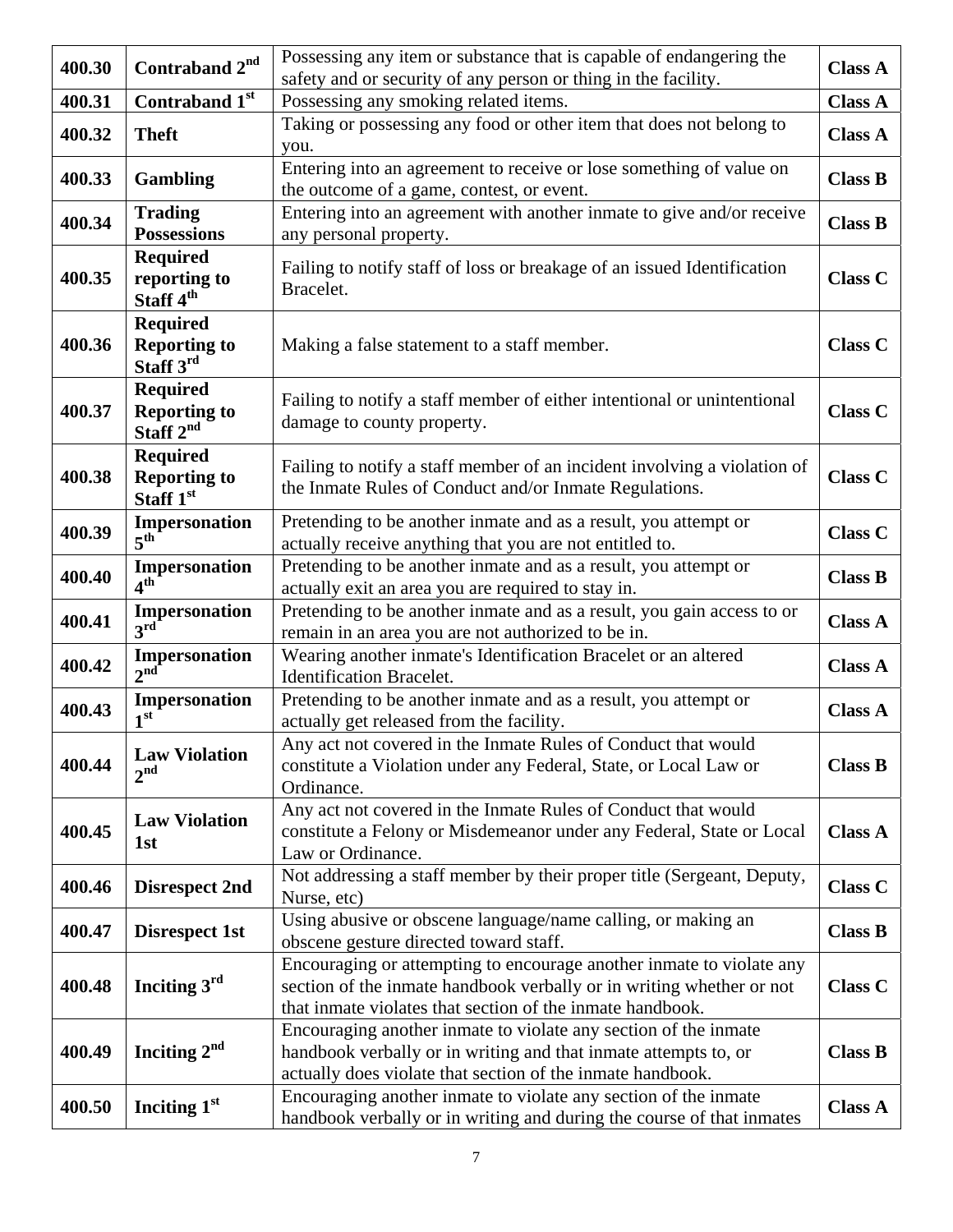| 400.30 | Contraband 2 <sup>nd</sup>       | Possessing any item or substance that is capable of endangering the                                                        | <b>Class A</b> |
|--------|----------------------------------|----------------------------------------------------------------------------------------------------------------------------|----------------|
|        |                                  | safety and or security of any person or thing in the facility.                                                             |                |
| 400.31 | Contraband 1st                   | Possessing any smoking related items.                                                                                      | <b>Class A</b> |
| 400.32 | <b>Theft</b>                     | Taking or possessing any food or other item that does not belong to                                                        | <b>Class A</b> |
|        |                                  | you.                                                                                                                       |                |
| 400.33 | <b>Gambling</b>                  | Entering into an agreement to receive or lose something of value on<br>the outcome of a game, contest, or event.           | <b>Class B</b> |
|        | <b>Trading</b>                   | Entering into an agreement with another inmate to give and/or receive                                                      |                |
| 400.34 | <b>Possessions</b>               | any personal property.                                                                                                     | <b>Class B</b> |
|        | <b>Required</b>                  |                                                                                                                            |                |
| 400.35 | reporting to                     | Failing to notify staff of loss or breakage of an issued Identification                                                    | <b>Class C</b> |
|        | Staff 4 <sup>th</sup>            | Bracelet.                                                                                                                  |                |
|        | <b>Required</b>                  |                                                                                                                            |                |
| 400.36 | <b>Reporting to</b>              | Making a false statement to a staff member.                                                                                | <b>Class C</b> |
|        | Staff 3rd                        |                                                                                                                            |                |
|        | <b>Required</b>                  | Failing to notify a staff member of either intentional or unintentional                                                    |                |
| 400.37 | <b>Reporting to</b>              | damage to county property.                                                                                                 | <b>Class C</b> |
|        | Staff $2^{nd}$                   |                                                                                                                            |                |
|        | <b>Required</b>                  | Failing to notify a staff member of an incident involving a violation of                                                   |                |
| 400.38 | <b>Reporting to</b>              | the Inmate Rules of Conduct and/or Inmate Regulations.                                                                     | <b>Class C</b> |
|        | Staff 1st                        |                                                                                                                            |                |
| 400.39 | Impersonation<br>$5^{\text{th}}$ | Pretending to be another inmate and as a result, you attempt or<br>actually receive anything that you are not entitled to. | <b>Class C</b> |
|        | Impersonation                    | Pretending to be another inmate and as a result, you attempt or                                                            |                |
| 400.40 | $\mathbf{A}^{\text{th}}$         | actually exit an area you are required to stay in.                                                                         | <b>Class B</b> |
|        | Impersonation                    | Pretending to be another inmate and as a result, you gain access to or                                                     |                |
| 400.41 | $3^{\rm rd}$                     | remain in an area you are not authorized to be in.                                                                         | <b>Class A</b> |
| 400.42 | Impersonation                    | Wearing another inmate's Identification Bracelet or an altered                                                             |                |
|        | 2 <sup>nd</sup>                  | <b>Identification Bracelet.</b>                                                                                            | <b>Class A</b> |
| 400.43 | Impersonation                    | Pretending to be another inmate and as a result, you attempt or                                                            | <b>Class A</b> |
|        | 1 <sup>st</sup>                  | actually get released from the facility.                                                                                   |                |
|        | <b>Law Violation</b>             | Any act not covered in the Inmate Rules of Conduct that would                                                              |                |
| 400.44 | $2^{nd}$                         | constitute a Violation under any Federal, State, or Local Law or                                                           | <b>Class B</b> |
|        |                                  | Ordinance.                                                                                                                 |                |
|        | <b>Law Violation</b>             | Any act not covered in the Inmate Rules of Conduct that would                                                              |                |
| 400.45 | 1st                              | constitute a Felony or Misdemeanor under any Federal, State or Local<br>Law or Ordinance.                                  | <b>Class A</b> |
|        |                                  | Not addressing a staff member by their proper title (Sergeant, Deputy,                                                     |                |
| 400.46 | <b>Disrespect 2nd</b>            | Nurse, etc)                                                                                                                | <b>Class C</b> |
|        |                                  | Using abusive or obscene language/name calling, or making an                                                               |                |
| 400.47 | <b>Disrespect 1st</b>            | obscene gesture directed toward staff.                                                                                     | <b>Class B</b> |
|        |                                  | Encouraging or attempting to encourage another inmate to violate any                                                       |                |
| 400.48 | Inciting $3rd$                   | section of the inmate handbook verbally or in writing whether or not                                                       | <b>Class C</b> |
|        |                                  | that inmate violates that section of the inmate handbook.                                                                  |                |
|        |                                  | Encouraging another inmate to violate any section of the inmate                                                            |                |
| 400.49 | Inciting $2nd$                   | handbook verbally or in writing and that inmate attempts to, or                                                            | <b>Class B</b> |
|        |                                  | actually does violate that section of the inmate handbook.                                                                 |                |
| 400.50 | Inciting 1 <sup>st</sup>         | Encouraging another inmate to violate any section of the inmate                                                            | <b>Class A</b> |
|        |                                  | handbook verbally or in writing and during the course of that inmates                                                      |                |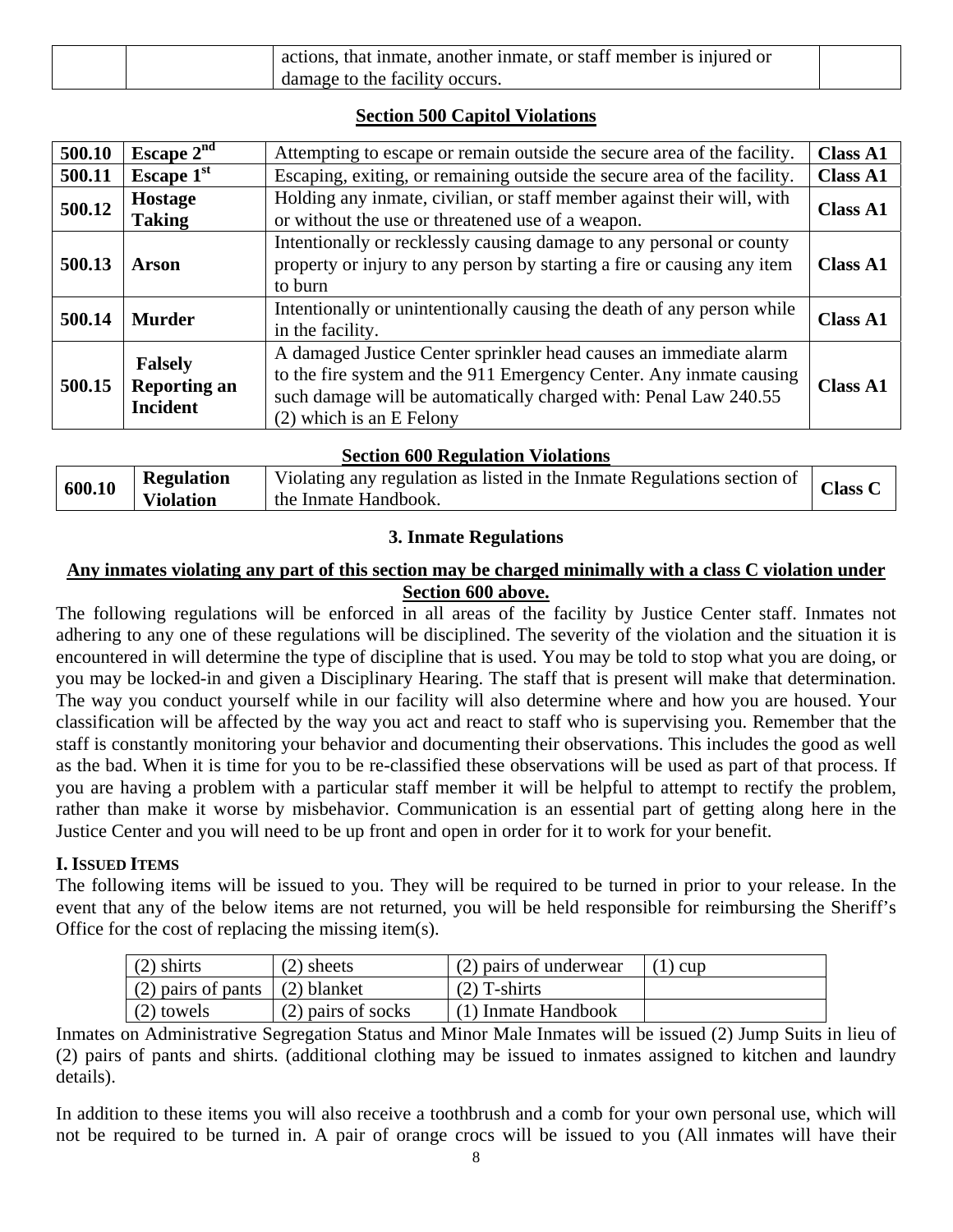|  | actions, that inmate, another inmate, or staff member is injured or |  |
|--|---------------------------------------------------------------------|--|
|  | damage to the facility occurs.                                      |  |

#### **Section 500 Capitol Violations**

| 500.10 | Escape $2^{nd}$                                          | Attempting to escape or remain outside the secure area of the facility.                                                                                                                                                                    | <b>Class A1</b> |
|--------|----------------------------------------------------------|--------------------------------------------------------------------------------------------------------------------------------------------------------------------------------------------------------------------------------------------|-----------------|
| 500.11 | Escape 1st                                               | Escaping, exiting, or remaining outside the secure area of the facility.                                                                                                                                                                   | <b>Class A1</b> |
| 500.12 | <b>Hostage</b><br><b>Taking</b>                          | Holding any inmate, civilian, or staff member against their will, with<br>or without the use or threatened use of a weapon.                                                                                                                | <b>Class A1</b> |
| 500.13 | Arson                                                    | Intentionally or recklessly causing damage to any personal or county<br>property or injury to any person by starting a fire or causing any item<br>to burn                                                                                 | <b>Class A1</b> |
| 500.14 | <b>Murder</b>                                            | Intentionally or unintentionally causing the death of any person while<br>in the facility.                                                                                                                                                 | <b>Class A1</b> |
| 500.15 | <b>Falsely</b><br><b>Reporting an</b><br><b>Incident</b> | A damaged Justice Center sprinkler head causes an immediate alarm<br>to the fire system and the 911 Emergency Center. Any inmate causing<br>such damage will be automatically charged with: Penal Law 240.55<br>$(2)$ which is an E Felony | <b>Class A1</b> |

#### **Section 600 Regulation Violations**

| 600.10 | <b>Regulation</b> | Violating any regulation as listed in the Inmate Regulations section of | <b>Class C</b> |
|--------|-------------------|-------------------------------------------------------------------------|----------------|
|        | <b>Violation</b>  | the Inmate Handbook.                                                    |                |

#### **3. Inmate Regulations**

#### **Any inmates violating any part of this section may be charged minimally with a class C violation under Section 600 above.**

The following regulations will be enforced in all areas of the facility by Justice Center staff. Inmates not adhering to any one of these regulations will be disciplined. The severity of the violation and the situation it is encountered in will determine the type of discipline that is used. You may be told to stop what you are doing, or you may be locked-in and given a Disciplinary Hearing. The staff that is present will make that determination. The way you conduct yourself while in our facility will also determine where and how you are housed. Your classification will be affected by the way you act and react to staff who is supervising you. Remember that the staff is constantly monitoring your behavior and documenting their observations. This includes the good as well as the bad. When it is time for you to be re-classified these observations will be used as part of that process. If you are having a problem with a particular staff member it will be helpful to attempt to rectify the problem, rather than make it worse by misbehavior. Communication is an essential part of getting along here in the Justice Center and you will need to be up front and open in order for it to work for your benefit.

## **I. ISSUED ITEMS**

The following items will be issued to you. They will be required to be turned in prior to your release. In the event that any of the below items are not returned, you will be held responsible for reimbursing the Sheriff's Office for the cost of replacing the missing item(s).

| $(2)$ shirts                     | $(2)$ sheets       | (2) pairs of underwear | $(1)$ cup |
|----------------------------------|--------------------|------------------------|-----------|
| (2) pairs of pants $(2)$ blanket |                    | $(2)$ T-shirts         |           |
| $(2)$ towels                     | (2) pairs of socks | (1) Inmate Handbook    |           |

Inmates on Administrative Segregation Status and Minor Male Inmates will be issued (2) Jump Suits in lieu of (2) pairs of pants and shirts. (additional clothing may be issued to inmates assigned to kitchen and laundry details).

In addition to these items you will also receive a toothbrush and a comb for your own personal use, which will not be required to be turned in. A pair of orange crocs will be issued to you (All inmates will have their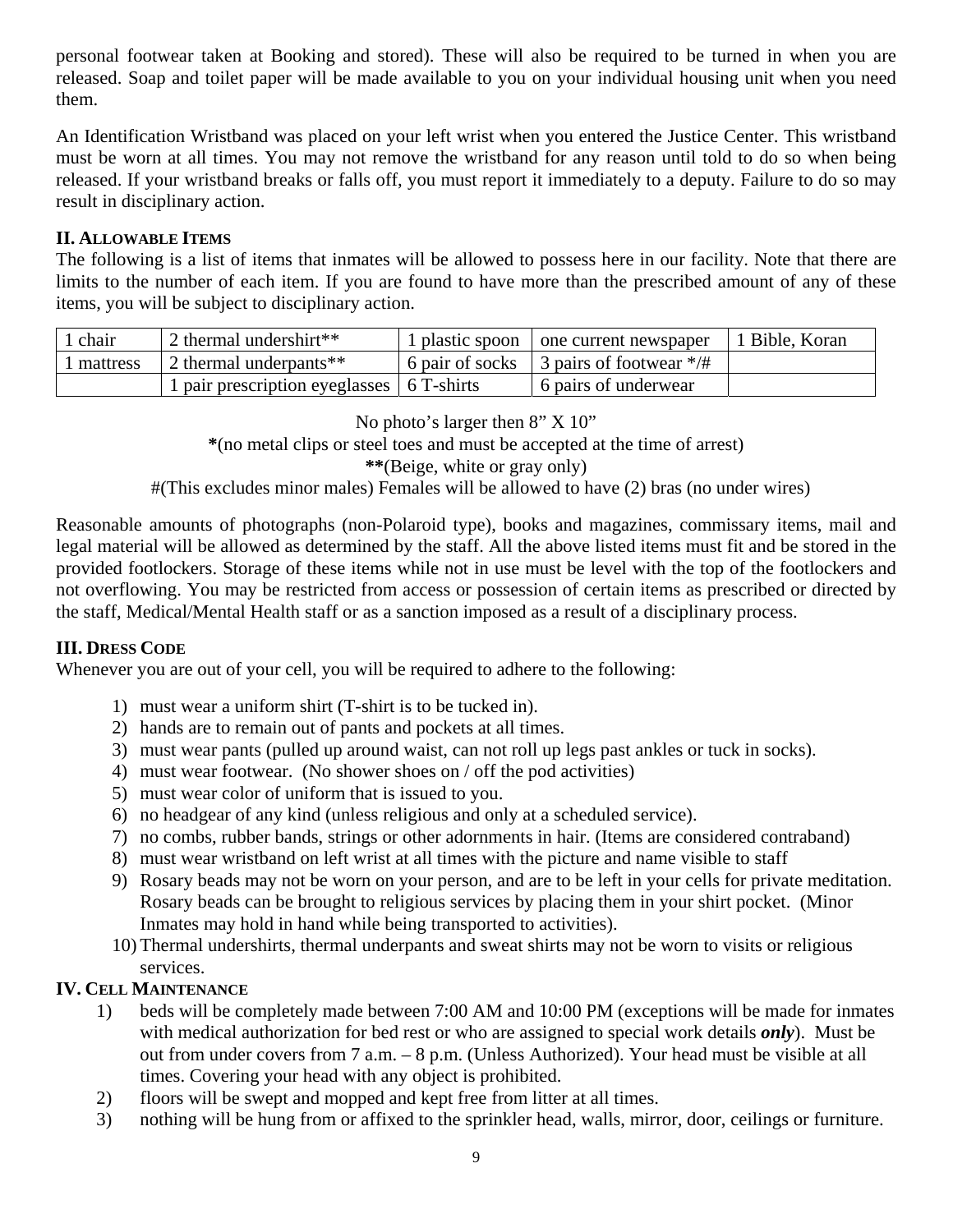personal footwear taken at Booking and stored). These will also be required to be turned in when you are released. Soap and toilet paper will be made available to you on your individual housing unit when you need them.

An Identification Wristband was placed on your left wrist when you entered the Justice Center. This wristband must be worn at all times. You may not remove the wristband for any reason until told to do so when being released. If your wristband breaks or falls off, you must report it immediately to a deputy. Failure to do so may result in disciplinary action.

#### **II. ALLOWABLE ITEMS**

The following is a list of items that inmates will be allowed to possess here in our facility. Note that there are limits to the number of each item. If you are found to have more than the prescribed amount of any of these items, you will be subject to disciplinary action.

| chair    | 2 thermal undershirt**                      | 1 plastic spoon   one current newspaper   | 1 Bible, Koran |
|----------|---------------------------------------------|-------------------------------------------|----------------|
| mattress | 2 thermal underpants**                      | 6 pair of socks 3 pairs of footwear $*/#$ |                |
|          | 1 pair prescription eyeglasses   6 T-shirts | 6 pairs of underwear                      |                |

No photo's larger then 8" X 10"

**\***(no metal clips or steel toes and must be accepted at the time of arrest)

**\*\***(Beige, white or gray only)

#(This excludes minor males) Females will be allowed to have (2) bras (no under wires)

Reasonable amounts of photographs (non-Polaroid type), books and magazines, commissary items, mail and legal material will be allowed as determined by the staff. All the above listed items must fit and be stored in the provided footlockers. Storage of these items while not in use must be level with the top of the footlockers and not overflowing. You may be restricted from access or possession of certain items as prescribed or directed by the staff, Medical/Mental Health staff or as a sanction imposed as a result of a disciplinary process.

#### **III. DRESS CODE**

Whenever you are out of your cell, you will be required to adhere to the following:

- 1) must wear a uniform shirt (T-shirt is to be tucked in).
- 2) hands are to remain out of pants and pockets at all times.
- 3) must wear pants (pulled up around waist, can not roll up legs past ankles or tuck in socks).
- 4) must wear footwear. (No shower shoes on / off the pod activities)
- 5) must wear color of uniform that is issued to you.
- 6) no headgear of any kind (unless religious and only at a scheduled service).
- 7) no combs, rubber bands, strings or other adornments in hair. (Items are considered contraband)
- 8) must wear wristband on left wrist at all times with the picture and name visible to staff
- 9) Rosary beads may not be worn on your person, and are to be left in your cells for private meditation. Rosary beads can be brought to religious services by placing them in your shirt pocket. (Minor Inmates may hold in hand while being transported to activities).
- 10) Thermal undershirts, thermal underpants and sweat shirts may not be worn to visits or religious services.

## **IV. CELL MAINTENANCE**

- 1) beds will be completely made between 7:00 AM and 10:00 PM (exceptions will be made for inmates with medical authorization for bed rest or who are assigned to special work details *only*). Must be out from under covers from 7 a.m. – 8 p.m. (Unless Authorized). Your head must be visible at all times. Covering your head with any object is prohibited.
- 2) floors will be swept and mopped and kept free from litter at all times.
- 3) nothing will be hung from or affixed to the sprinkler head, walls, mirror, door, ceilings or furniture.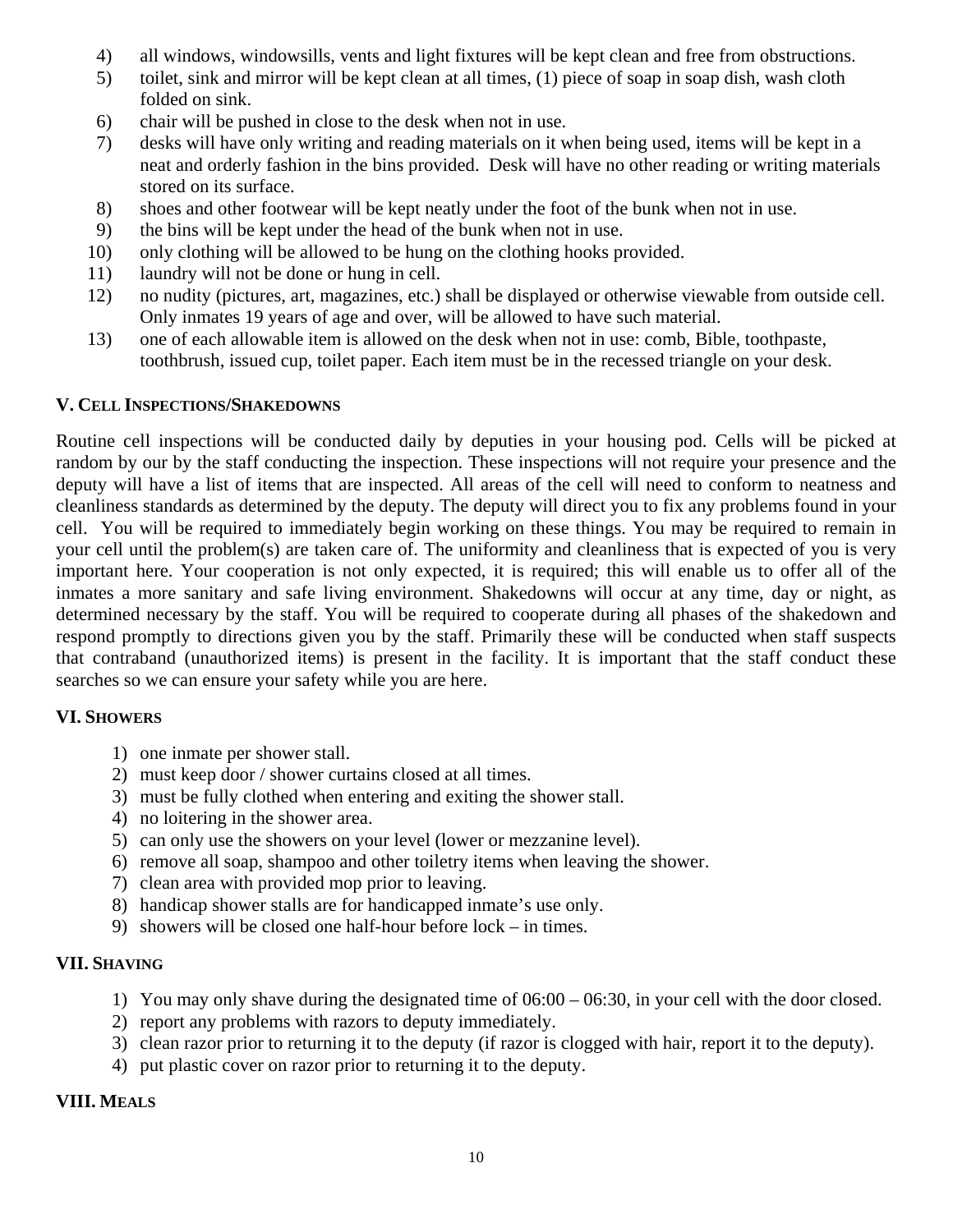- 4) all windows, windowsills, vents and light fixtures will be kept clean and free from obstructions.
- 5) toilet, sink and mirror will be kept clean at all times, (1) piece of soap in soap dish, wash cloth folded on sink.
- 6) chair will be pushed in close to the desk when not in use.
- 7) desks will have only writing and reading materials on it when being used, items will be kept in a neat and orderly fashion in the bins provided. Desk will have no other reading or writing materials stored on its surface.
- 8) shoes and other footwear will be kept neatly under the foot of the bunk when not in use.
- 9) the bins will be kept under the head of the bunk when not in use.
- 10) only clothing will be allowed to be hung on the clothing hooks provided.
- 11) laundry will not be done or hung in cell.
- 12) no nudity (pictures, art, magazines, etc.) shall be displayed or otherwise viewable from outside cell. Only inmates 19 years of age and over, will be allowed to have such material.
- 13) one of each allowable item is allowed on the desk when not in use: comb, Bible, toothpaste, toothbrush, issued cup, toilet paper. Each item must be in the recessed triangle on your desk.

## **V. CELL INSPECTIONS/SHAKEDOWNS**

Routine cell inspections will be conducted daily by deputies in your housing pod. Cells will be picked at random by our by the staff conducting the inspection. These inspections will not require your presence and the deputy will have a list of items that are inspected. All areas of the cell will need to conform to neatness and cleanliness standards as determined by the deputy. The deputy will direct you to fix any problems found in your cell. You will be required to immediately begin working on these things. You may be required to remain in your cell until the problem(s) are taken care of. The uniformity and cleanliness that is expected of you is very important here. Your cooperation is not only expected, it is required; this will enable us to offer all of the inmates a more sanitary and safe living environment. Shakedowns will occur at any time, day or night, as determined necessary by the staff. You will be required to cooperate during all phases of the shakedown and respond promptly to directions given you by the staff. Primarily these will be conducted when staff suspects that contraband (unauthorized items) is present in the facility. It is important that the staff conduct these searches so we can ensure your safety while you are here.

## **VI. SHOWERS**

- 1) one inmate per shower stall.
- 2) must keep door / shower curtains closed at all times.
- 3) must be fully clothed when entering and exiting the shower stall.
- 4) no loitering in the shower area.
- 5) can only use the showers on your level (lower or mezzanine level).
- 6) remove all soap, shampoo and other toiletry items when leaving the shower.
- 7) clean area with provided mop prior to leaving.
- 8) handicap shower stalls are for handicapped inmate's use only.
- 9) showers will be closed one half-hour before lock in times.

## **VII. SHAVING**

- 1) You may only shave during the designated time of 06:00 06:30, in your cell with the door closed.
- 2) report any problems with razors to deputy immediately.
- 3) clean razor prior to returning it to the deputy (if razor is clogged with hair, report it to the deputy).
- 4) put plastic cover on razor prior to returning it to the deputy.

## **VIII. MEALS**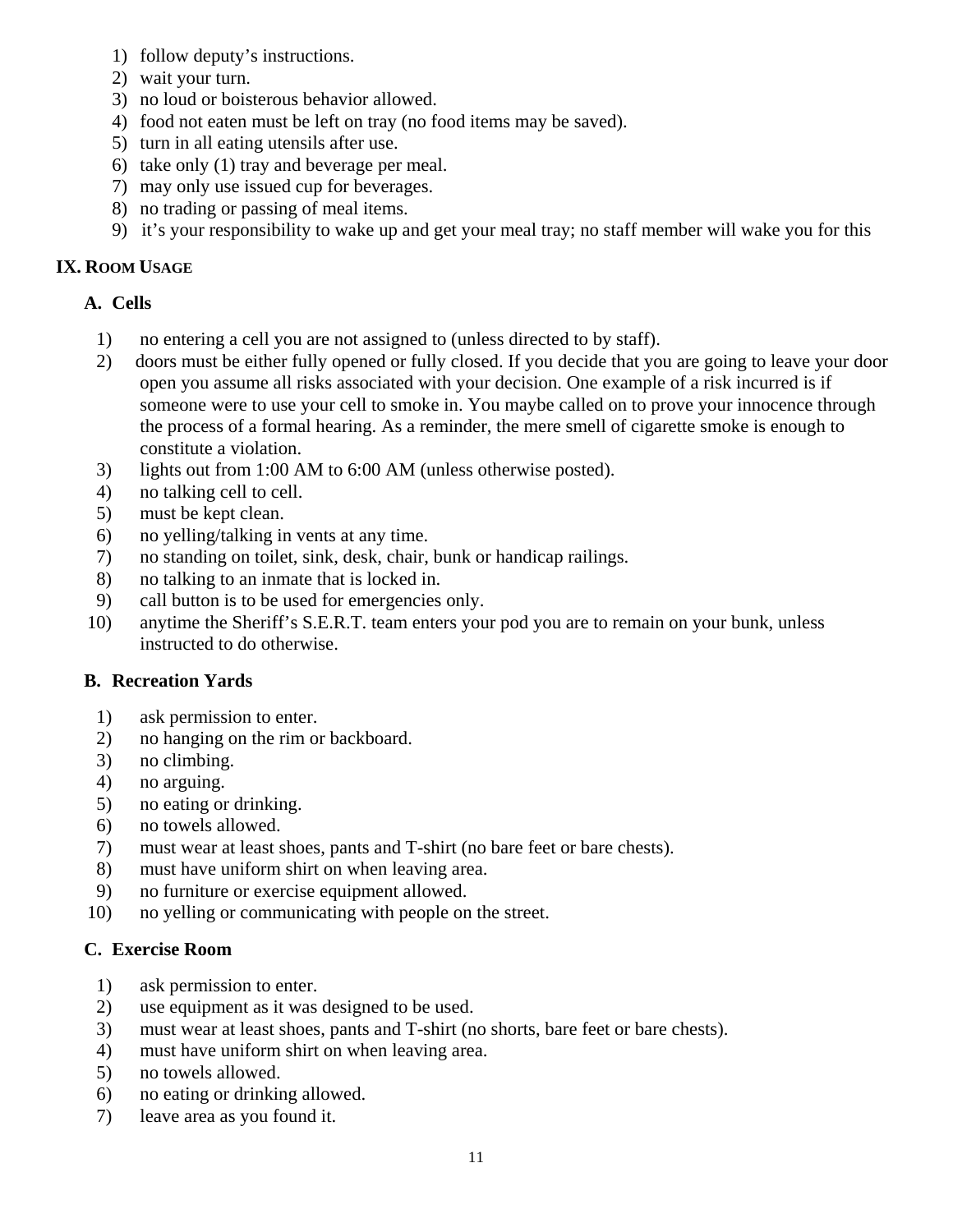- 1) follow deputy's instructions.
- 2) wait your turn.
- 3) no loud or boisterous behavior allowed.
- 4) food not eaten must be left on tray (no food items may be saved).
- 5) turn in all eating utensils after use.
- 6) take only (1) tray and beverage per meal.
- 7) may only use issued cup for beverages.
- 8) no trading or passing of meal items.
- 9) it's your responsibility to wake up and get your meal tray; no staff member will wake you for this

#### **IX. ROOM USAGE**

#### **A. Cells**

- 1) no entering a cell you are not assigned to (unless directed to by staff).
- 2) doors must be either fully opened or fully closed. If you decide that you are going to leave your door open you assume all risks associated with your decision. One example of a risk incurred is if someone were to use your cell to smoke in. You maybe called on to prove your innocence through the process of a formal hearing. As a reminder, the mere smell of cigarette smoke is enough to constitute a violation.
- 3) lights out from 1:00 AM to 6:00 AM (unless otherwise posted).
- 4) no talking cell to cell.
- 5) must be kept clean.
- 6) no yelling/talking in vents at any time.
- 7) no standing on toilet, sink, desk, chair, bunk or handicap railings.
- 8) no talking to an inmate that is locked in.
- 9) call button is to be used for emergencies only.
- 10) anytime the Sheriff's S.E.R.T. team enters your pod you are to remain on your bunk, unless instructed to do otherwise.

#### **B. Recreation Yards**

- 1) ask permission to enter.
- 2) no hanging on the rim or backboard.
- 3) no climbing.
- 4) no arguing.
- 5) no eating or drinking.
- 6) no towels allowed.
- 7) must wear at least shoes, pants and T-shirt (no bare feet or bare chests).
- 8) must have uniform shirt on when leaving area.
- 9) no furniture or exercise equipment allowed.
- 10) no yelling or communicating with people on the street.

#### **C. Exercise Room**

- 1) ask permission to enter.
- 2) use equipment as it was designed to be used.
- 3) must wear at least shoes, pants and T-shirt (no shorts, bare feet or bare chests).
- 4) must have uniform shirt on when leaving area.
- 5) no towels allowed.
- 6) no eating or drinking allowed.
- 7) leave area as you found it.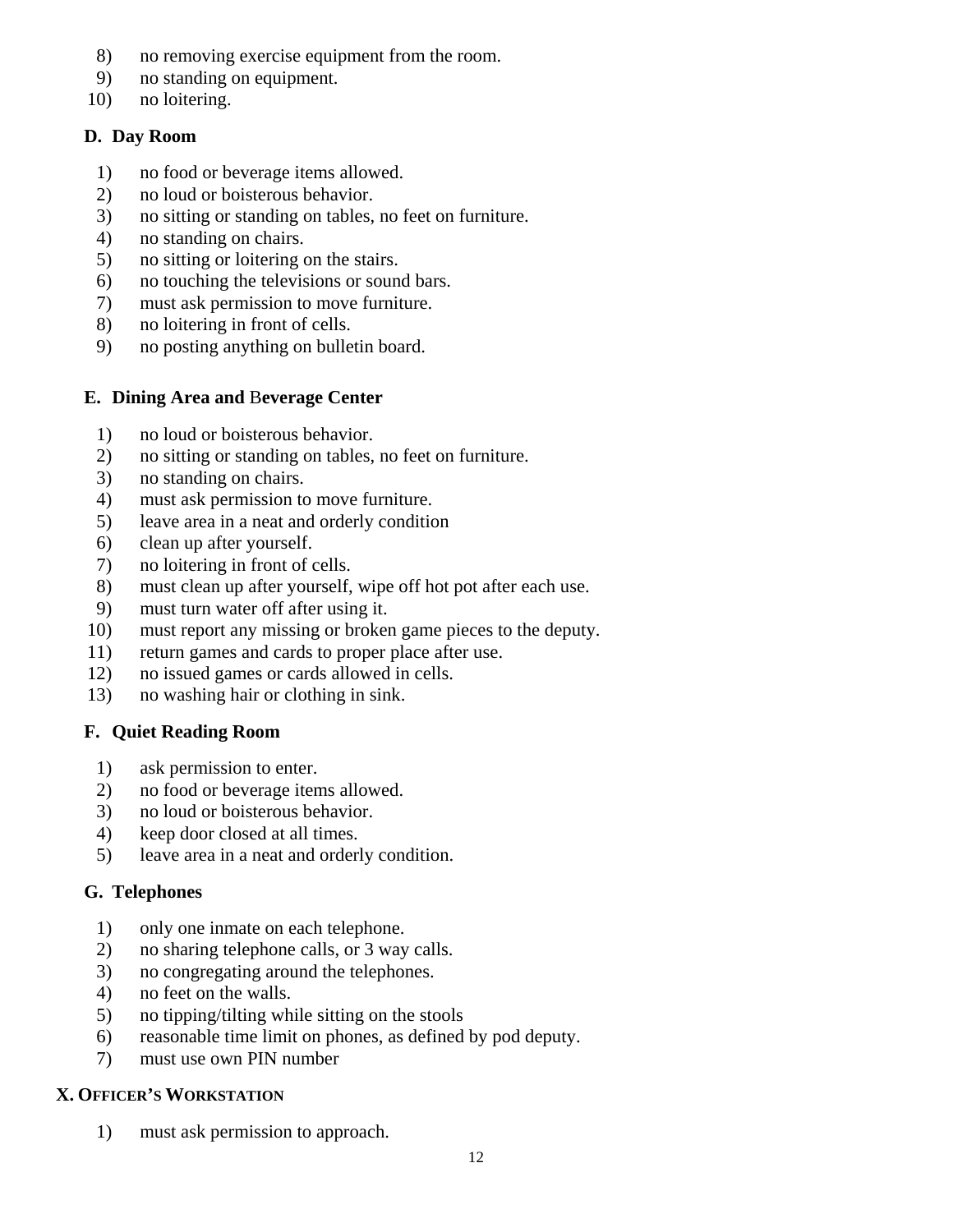- 8) no removing exercise equipment from the room.
- 9) no standing on equipment.
- 10) no loitering.

## **D. Day Room**

- 1) no food or beverage items allowed.
- 2) no loud or boisterous behavior.
- 3) no sitting or standing on tables, no feet on furniture.
- 4) no standing on chairs.
- 5) no sitting or loitering on the stairs.
- 6) no touching the televisions or sound bars.
- 7) must ask permission to move furniture.
- 8) no loitering in front of cells.
- 9) no posting anything on bulletin board.

# **E. Dining Area and** B**everage Center**

- 1) no loud or boisterous behavior.
- 2) no sitting or standing on tables, no feet on furniture.
- 3) no standing on chairs.
- 4) must ask permission to move furniture.
- 5) leave area in a neat and orderly condition
- 6) clean up after yourself.
- 7) no loitering in front of cells.
- 8) must clean up after yourself, wipe off hot pot after each use.
- 9) must turn water off after using it.
- 10) must report any missing or broken game pieces to the deputy.
- 11) return games and cards to proper place after use.
- 12) no issued games or cards allowed in cells.
- 13) no washing hair or clothing in sink.

# **F. Quiet Reading Room**

- 1) ask permission to enter.
- 2) no food or beverage items allowed.
- 3) no loud or boisterous behavior.
- 4) keep door closed at all times.
- 5) leave area in a neat and orderly condition.

# **G. Telephones**

- 1) only one inmate on each telephone.
- 2) no sharing telephone calls, or 3 way calls.
- 3) no congregating around the telephones.
- 4) no feet on the walls.
- 5) no tipping/tilting while sitting on the stools
- 6) reasonable time limit on phones, as defined by pod deputy.
- 7) must use own PIN number

# **X. OFFICER'S WORKSTATION**

1) must ask permission to approach.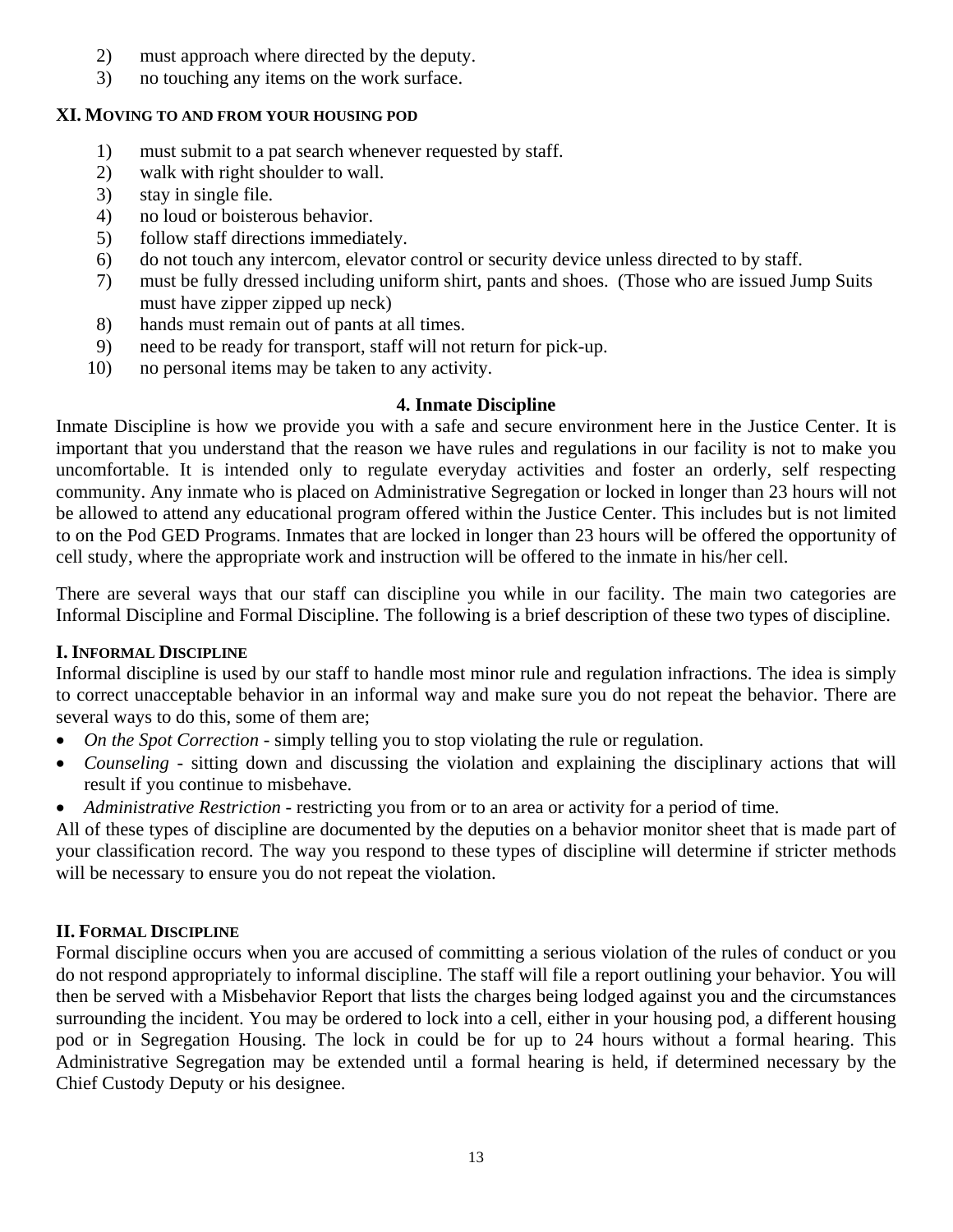- 2) must approach where directed by the deputy.
- 3) no touching any items on the work surface.

#### **XI. MOVING TO AND FROM YOUR HOUSING POD**

- 1) must submit to a pat search whenever requested by staff.
- 2) walk with right shoulder to wall.
- 3) stay in single file.
- 4) no loud or boisterous behavior.
- 5) follow staff directions immediately.
- 6) do not touch any intercom, elevator control or security device unless directed to by staff.
- 7) must be fully dressed including uniform shirt, pants and shoes. (Those who are issued Jump Suits must have zipper zipped up neck)
- 8) hands must remain out of pants at all times.
- 9) need to be ready for transport, staff will not return for pick-up.
- 10) no personal items may be taken to any activity.

## **4. Inmate Discipline**

Inmate Discipline is how we provide you with a safe and secure environment here in the Justice Center. It is important that you understand that the reason we have rules and regulations in our facility is not to make you uncomfortable. It is intended only to regulate everyday activities and foster an orderly, self respecting community. Any inmate who is placed on Administrative Segregation or locked in longer than 23 hours will not be allowed to attend any educational program offered within the Justice Center. This includes but is not limited to on the Pod GED Programs. Inmates that are locked in longer than 23 hours will be offered the opportunity of cell study, where the appropriate work and instruction will be offered to the inmate in his/her cell.

There are several ways that our staff can discipline you while in our facility. The main two categories are Informal Discipline and Formal Discipline. The following is a brief description of these two types of discipline.

# **I. INFORMAL DISCIPLINE**

Informal discipline is used by our staff to handle most minor rule and regulation infractions. The idea is simply to correct unacceptable behavior in an informal way and make sure you do not repeat the behavior. There are several ways to do this, some of them are;

- *On the Spot Correction* simply telling you to stop violating the rule or regulation.
- *Counseling* sitting down and discussing the violation and explaining the disciplinary actions that will result if you continue to misbehave.
- *Administrative Restriction* restricting you from or to an area or activity for a period of time.

All of these types of discipline are documented by the deputies on a behavior monitor sheet that is made part of your classification record. The way you respond to these types of discipline will determine if stricter methods will be necessary to ensure you do not repeat the violation.

# **II. FORMAL DISCIPLINE**

Formal discipline occurs when you are accused of committing a serious violation of the rules of conduct or you do not respond appropriately to informal discipline. The staff will file a report outlining your behavior. You will then be served with a Misbehavior Report that lists the charges being lodged against you and the circumstances surrounding the incident. You may be ordered to lock into a cell, either in your housing pod, a different housing pod or in Segregation Housing. The lock in could be for up to 24 hours without a formal hearing. This Administrative Segregation may be extended until a formal hearing is held, if determined necessary by the Chief Custody Deputy or his designee.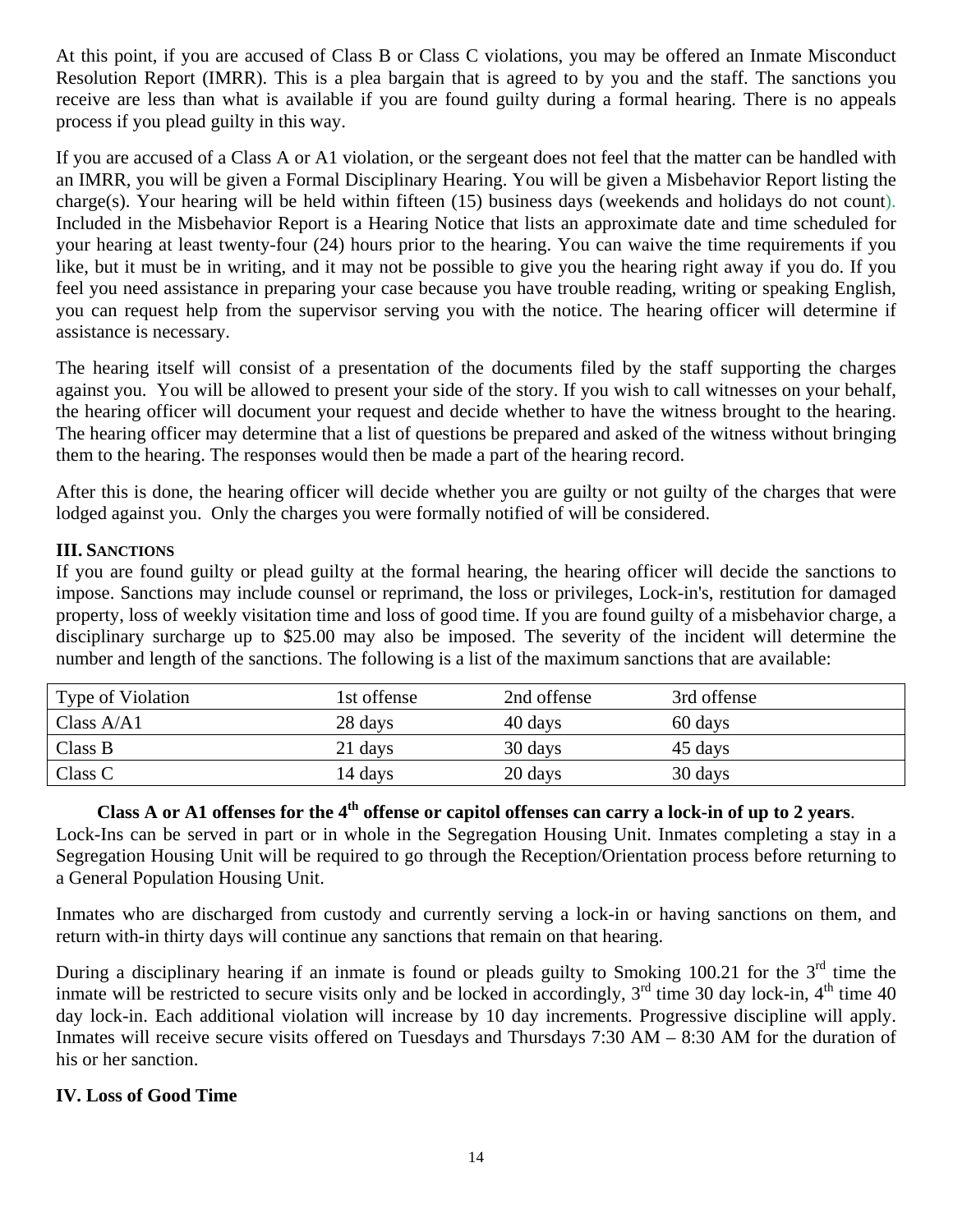At this point, if you are accused of Class B or Class C violations, you may be offered an Inmate Misconduct Resolution Report (IMRR). This is a plea bargain that is agreed to by you and the staff. The sanctions you receive are less than what is available if you are found guilty during a formal hearing. There is no appeals process if you plead guilty in this way.

If you are accused of a Class A or A1 violation, or the sergeant does not feel that the matter can be handled with an IMRR, you will be given a Formal Disciplinary Hearing. You will be given a Misbehavior Report listing the charge(s). Your hearing will be held within fifteen (15) business days (weekends and holidays do not count). Included in the Misbehavior Report is a Hearing Notice that lists an approximate date and time scheduled for your hearing at least twenty-four (24) hours prior to the hearing. You can waive the time requirements if you like, but it must be in writing, and it may not be possible to give you the hearing right away if you do. If you feel you need assistance in preparing your case because you have trouble reading, writing or speaking English, you can request help from the supervisor serving you with the notice. The hearing officer will determine if assistance is necessary.

The hearing itself will consist of a presentation of the documents filed by the staff supporting the charges against you. You will be allowed to present your side of the story. If you wish to call witnesses on your behalf, the hearing officer will document your request and decide whether to have the witness brought to the hearing. The hearing officer may determine that a list of questions be prepared and asked of the witness without bringing them to the hearing. The responses would then be made a part of the hearing record.

After this is done, the hearing officer will decide whether you are guilty or not guilty of the charges that were lodged against you. Only the charges you were formally notified of will be considered.

## **III. SANCTIONS**

If you are found guilty or plead guilty at the formal hearing, the hearing officer will decide the sanctions to impose. Sanctions may include counsel or reprimand, the loss or privileges, Lock-in's, restitution for damaged property, loss of weekly visitation time and loss of good time. If you are found guilty of a misbehavior charge, a disciplinary surcharge up to \$25.00 may also be imposed. The severity of the incident will determine the number and length of the sanctions. The following is a list of the maximum sanctions that are available:

| Type of Violation | 1st offense | 2nd offense | 3rd offense |
|-------------------|-------------|-------------|-------------|
| Class $A/A1$      | 28 days     | 40 days     | 60 days     |
| Class B           | 21 days     | 30 days     | 45 days     |
| Class C           | 14 days     | 20 days     | 30 days     |

# **Class A or A1 offenses for the 4th offense or capitol offenses can carry a lock-in of up to 2 years**.

Lock-Ins can be served in part or in whole in the Segregation Housing Unit. Inmates completing a stay in a Segregation Housing Unit will be required to go through the Reception/Orientation process before returning to a General Population Housing Unit.

Inmates who are discharged from custody and currently serving a lock-in or having sanctions on them, and return with-in thirty days will continue any sanctions that remain on that hearing.

During a disciplinary hearing if an inmate is found or pleads guilty to Smoking 100.21 for the  $3<sup>rd</sup>$  time the inmate will be restricted to secure visits only and be locked in accordingly,  $3<sup>rd</sup>$  time 30 day lock-in,  $4<sup>th</sup>$  time 40 day lock-in. Each additional violation will increase by 10 day increments. Progressive discipline will apply. Inmates will receive secure visits offered on Tuesdays and Thursdays 7:30 AM – 8:30 AM for the duration of his or her sanction.

## **IV. Loss of Good Time**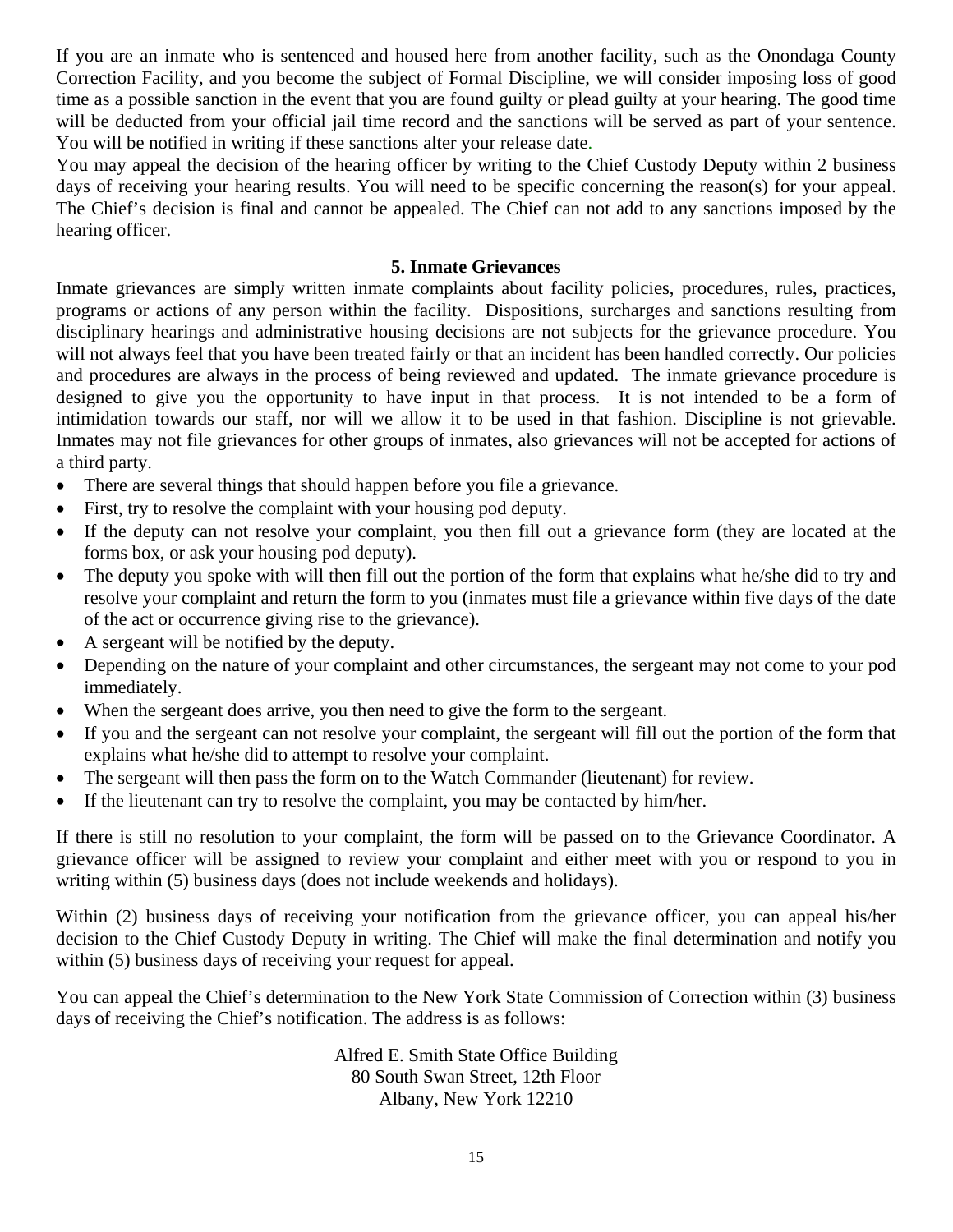If you are an inmate who is sentenced and housed here from another facility, such as the Onondaga County Correction Facility, and you become the subject of Formal Discipline, we will consider imposing loss of good time as a possible sanction in the event that you are found guilty or plead guilty at your hearing. The good time will be deducted from your official jail time record and the sanctions will be served as part of your sentence. You will be notified in writing if these sanctions alter your release date.

You may appeal the decision of the hearing officer by writing to the Chief Custody Deputy within 2 business days of receiving your hearing results. You will need to be specific concerning the reason(s) for your appeal. The Chief's decision is final and cannot be appealed. The Chief can not add to any sanctions imposed by the hearing officer.

#### **5. Inmate Grievances**

Inmate grievances are simply written inmate complaints about facility policies, procedures, rules, practices, programs or actions of any person within the facility. Dispositions, surcharges and sanctions resulting from disciplinary hearings and administrative housing decisions are not subjects for the grievance procedure. You will not always feel that you have been treated fairly or that an incident has been handled correctly. Our policies and procedures are always in the process of being reviewed and updated. The inmate grievance procedure is designed to give you the opportunity to have input in that process. It is not intended to be a form of intimidation towards our staff, nor will we allow it to be used in that fashion. Discipline is not grievable. Inmates may not file grievances for other groups of inmates, also grievances will not be accepted for actions of a third party.

- There are several things that should happen before you file a grievance.
- First, try to resolve the complaint with your housing pod deputy.
- If the deputy can not resolve your complaint, you then fill out a grievance form (they are located at the forms box, or ask your housing pod deputy).
- The deputy you spoke with will then fill out the portion of the form that explains what he/she did to try and resolve your complaint and return the form to you (inmates must file a grievance within five days of the date of the act or occurrence giving rise to the grievance).
- A sergeant will be notified by the deputy.
- Depending on the nature of your complaint and other circumstances, the sergeant may not come to your pod immediately.
- When the sergeant does arrive, you then need to give the form to the sergeant.
- If you and the sergeant can not resolve your complaint, the sergeant will fill out the portion of the form that explains what he/she did to attempt to resolve your complaint.
- The sergeant will then pass the form on to the Watch Commander (lieutenant) for review.
- If the lieutenant can try to resolve the complaint, you may be contacted by him/her.

If there is still no resolution to your complaint, the form will be passed on to the Grievance Coordinator. A grievance officer will be assigned to review your complaint and either meet with you or respond to you in writing within (5) business days (does not include weekends and holidays).

Within (2) business days of receiving your notification from the grievance officer, you can appeal his/her decision to the Chief Custody Deputy in writing. The Chief will make the final determination and notify you within (5) business days of receiving your request for appeal.

You can appeal the Chief's determination to the New York State Commission of Correction within (3) business days of receiving the Chief's notification. The address is as follows:

> Alfred E. Smith State Office Building 80 South Swan Street, 12th Floor Albany, New York 12210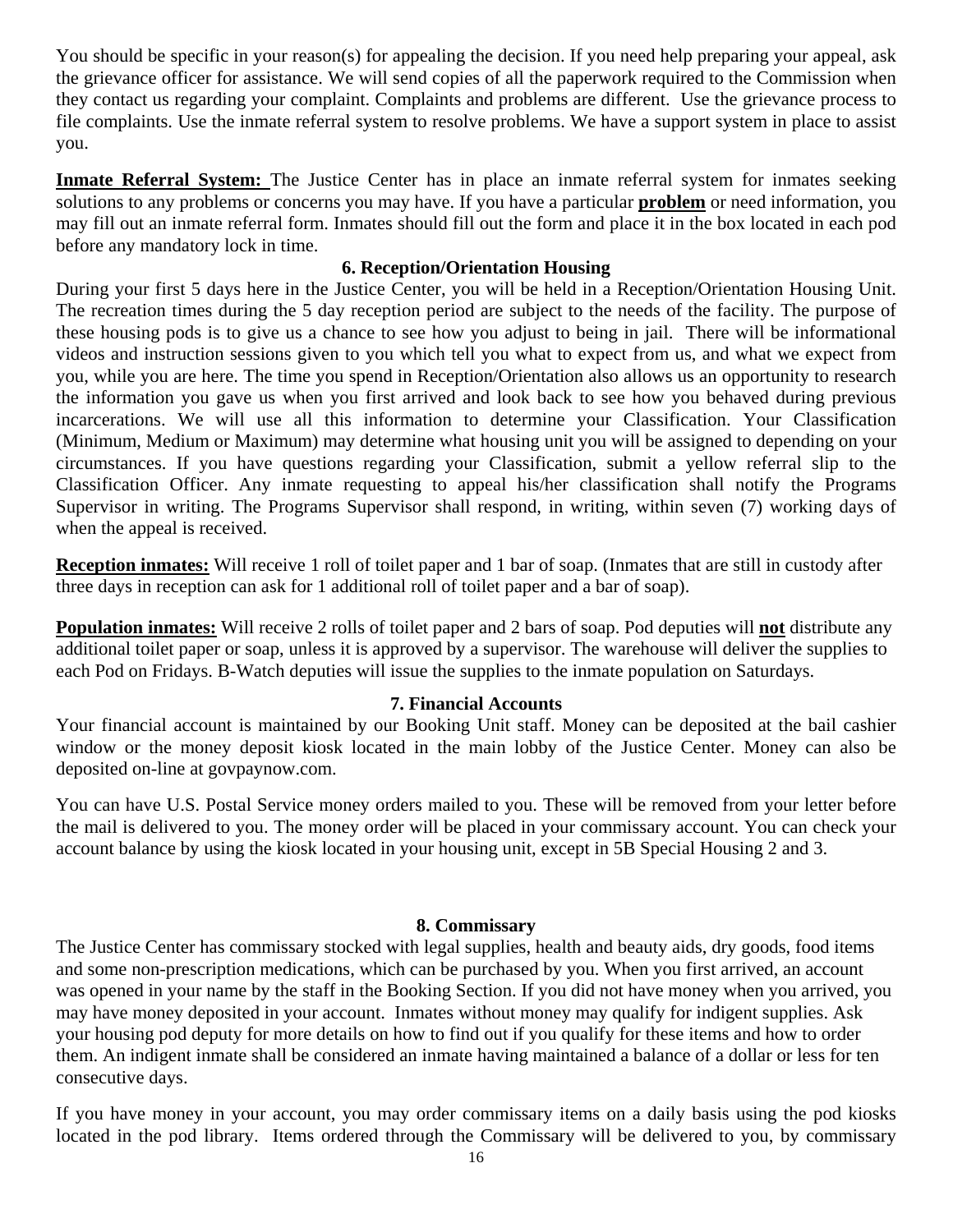You should be specific in your reason(s) for appealing the decision. If you need help preparing your appeal, ask the grievance officer for assistance. We will send copies of all the paperwork required to the Commission when they contact us regarding your complaint. Complaints and problems are different. Use the grievance process to file complaints. Use the inmate referral system to resolve problems. We have a support system in place to assist you.

Inmate Referral System: The Justice Center has in place an inmate referral system for inmates seeking solutions to any problems or concerns you may have. If you have a particular **problem** or need information, you may fill out an inmate referral form. Inmates should fill out the form and place it in the box located in each pod before any mandatory lock in time.

#### **6. Reception/Orientation Housing**

During your first 5 days here in the Justice Center, you will be held in a Reception/Orientation Housing Unit. The recreation times during the 5 day reception period are subject to the needs of the facility. The purpose of these housing pods is to give us a chance to see how you adjust to being in jail. There will be informational videos and instruction sessions given to you which tell you what to expect from us, and what we expect from you, while you are here. The time you spend in Reception/Orientation also allows us an opportunity to research the information you gave us when you first arrived and look back to see how you behaved during previous incarcerations. We will use all this information to determine your Classification. Your Classification (Minimum, Medium or Maximum) may determine what housing unit you will be assigned to depending on your circumstances. If you have questions regarding your Classification, submit a yellow referral slip to the Classification Officer. Any inmate requesting to appeal his/her classification shall notify the Programs Supervisor in writing. The Programs Supervisor shall respond, in writing, within seven (7) working days of when the appeal is received.

**Reception inmates:** Will receive 1 roll of toilet paper and 1 bar of soap. (Inmates that are still in custody after three days in reception can ask for 1 additional roll of toilet paper and a bar of soap).

**Population inmates:** Will receive 2 rolls of toilet paper and 2 bars of soap. Pod deputies will **not** distribute any additional toilet paper or soap, unless it is approved by a supervisor. The warehouse will deliver the supplies to each Pod on Fridays. B-Watch deputies will issue the supplies to the inmate population on Saturdays.

#### **7. Financial Accounts**

Your financial account is maintained by our Booking Unit staff. Money can be deposited at the bail cashier window or the money deposit kiosk located in the main lobby of the Justice Center. Money can also be deposited on-line at govpaynow.com.

You can have U.S. Postal Service money orders mailed to you. These will be removed from your letter before the mail is delivered to you. The money order will be placed in your commissary account. You can check your account balance by using the kiosk located in your housing unit, except in 5B Special Housing 2 and 3.

#### **8. Commissary**

The Justice Center has commissary stocked with legal supplies, health and beauty aids, dry goods, food items and some non-prescription medications, which can be purchased by you. When you first arrived, an account was opened in your name by the staff in the Booking Section. If you did not have money when you arrived, you may have money deposited in your account. Inmates without money may qualify for indigent supplies. Ask your housing pod deputy for more details on how to find out if you qualify for these items and how to order them. An indigent inmate shall be considered an inmate having maintained a balance of a dollar or less for ten consecutive days.

If you have money in your account, you may order commissary items on a daily basis using the pod kiosks located in the pod library. Items ordered through the Commissary will be delivered to you, by commissary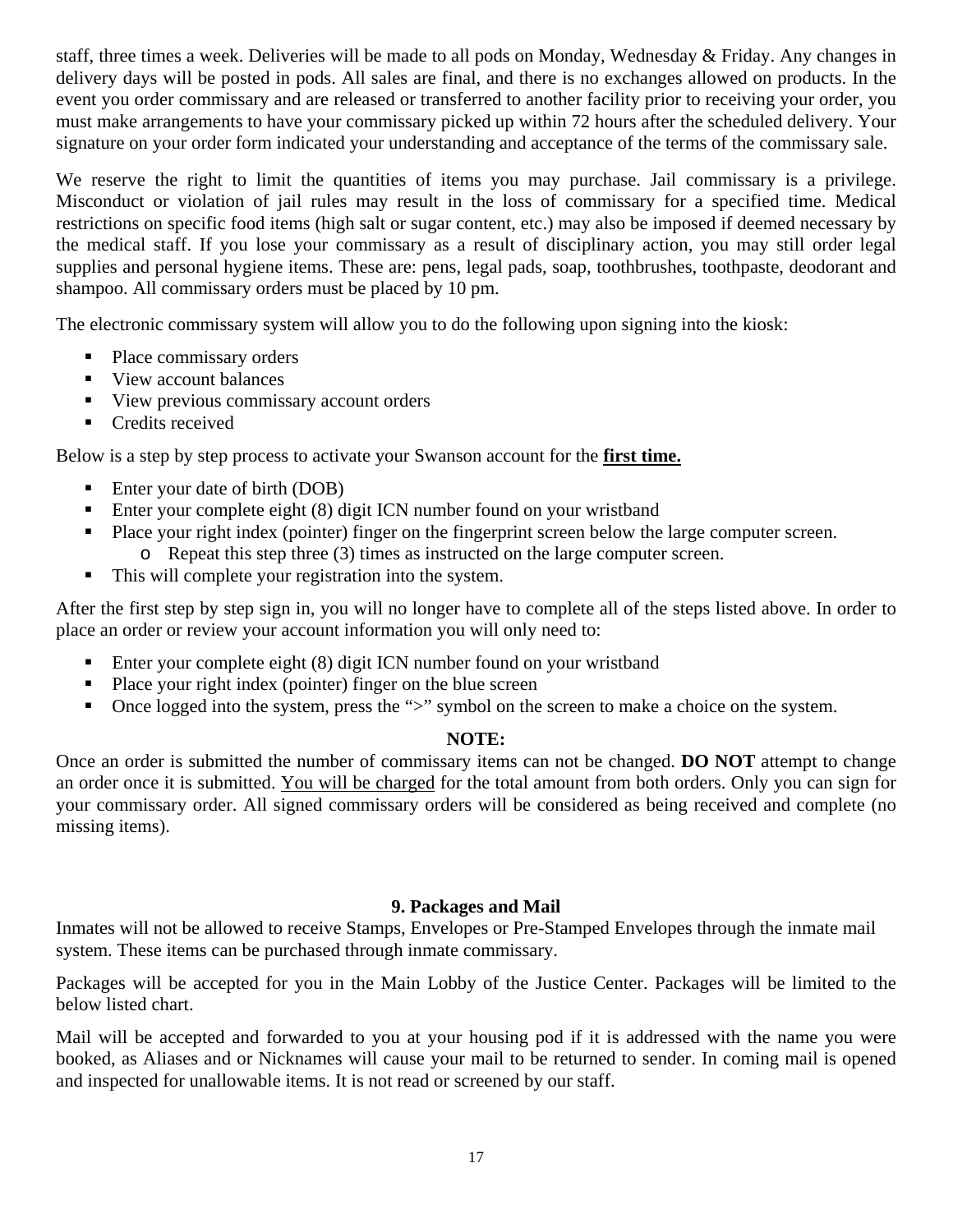staff, three times a week. Deliveries will be made to all pods on Monday, Wednesday & Friday. Any changes in delivery days will be posted in pods. All sales are final, and there is no exchanges allowed on products. In the event you order commissary and are released or transferred to another facility prior to receiving your order, you must make arrangements to have your commissary picked up within 72 hours after the scheduled delivery. Your signature on your order form indicated your understanding and acceptance of the terms of the commissary sale.

We reserve the right to limit the quantities of items you may purchase. Jail commissary is a privilege. Misconduct or violation of jail rules may result in the loss of commissary for a specified time. Medical restrictions on specific food items (high salt or sugar content, etc.) may also be imposed if deemed necessary by the medical staff. If you lose your commissary as a result of disciplinary action, you may still order legal supplies and personal hygiene items. These are: pens, legal pads, soap, toothbrushes, toothpaste, deodorant and shampoo. All commissary orders must be placed by 10 pm.

The electronic commissary system will allow you to do the following upon signing into the kiosk:

- Place commissary orders
- View account balances
- View previous commissary account orders
- Credits received

Below is a step by step process to activate your Swanson account for the **first time.** 

- Enter your date of birth (DOB)
- Enter your complete eight (8) digit ICN number found on your wristband
- Place your right index (pointer) finger on the fingerprint screen below the large computer screen.
	- o Repeat this step three (3) times as instructed on the large computer screen.
- This will complete your registration into the system.

After the first step by step sign in, you will no longer have to complete all of the steps listed above. In order to place an order or review your account information you will only need to:

- Enter your complete eight (8) digit ICN number found on your wristband
- **Place your right index (pointer) finger on the blue screen**
- Once logged into the system, press the ">" symbol on the screen to make a choice on the system.

#### **NOTE:**

Once an order is submitted the number of commissary items can not be changed. **DO NOT** attempt to change an order once it is submitted. You will be charged for the total amount from both orders. Only you can sign for your commissary order. All signed commissary orders will be considered as being received and complete (no missing items).

#### **9. Packages and Mail**

Inmates will not be allowed to receive Stamps, Envelopes or Pre-Stamped Envelopes through the inmate mail system. These items can be purchased through inmate commissary.

Packages will be accepted for you in the Main Lobby of the Justice Center. Packages will be limited to the below listed chart.

Mail will be accepted and forwarded to you at your housing pod if it is addressed with the name you were booked, as Aliases and or Nicknames will cause your mail to be returned to sender. In coming mail is opened and inspected for unallowable items. It is not read or screened by our staff.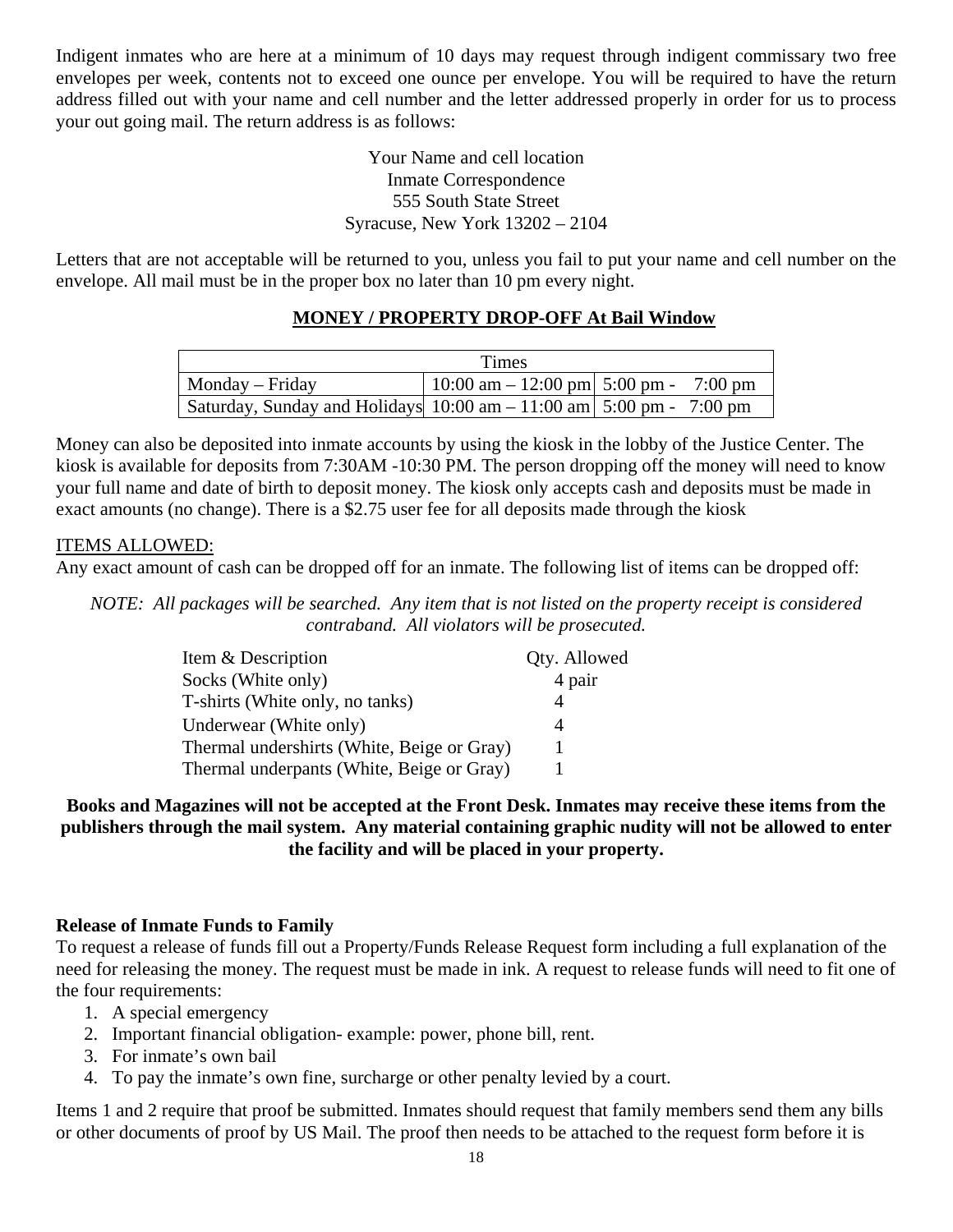Indigent inmates who are here at a minimum of 10 days may request through indigent commissary two free envelopes per week, contents not to exceed one ounce per envelope. You will be required to have the return address filled out with your name and cell number and the letter addressed properly in order for us to process your out going mail. The return address is as follows:

#### Your Name and cell location Inmate Correspondence 555 South State Street Syracuse, New York 13202 – 2104

Letters that are not acceptable will be returned to you, unless you fail to put your name and cell number on the envelope. All mail must be in the proper box no later than 10 pm every night.

## **MONEY / PROPERTY DROP-OFF At Bail Window**

|                                                                                       | Times                                |                   |
|---------------------------------------------------------------------------------------|--------------------------------------|-------------------|
| $\blacksquare$ Monday – Friday                                                        | $10:00$ am $-12:00$ pm $5:00$ pm $-$ | $7:00 \text{ pm}$ |
| Saturday, Sunday and Holidays $10:00 \text{ am} - 11:00 \text{ am}$ 5:00 pm - 7:00 pm |                                      |                   |

Money can also be deposited into inmate accounts by using the kiosk in the lobby of the Justice Center. The kiosk is available for deposits from 7:30AM -10:30 PM. The person dropping off the money will need to know your full name and date of birth to deposit money. The kiosk only accepts cash and deposits must be made in exact amounts (no change). There is a \$2.75 user fee for all deposits made through the kiosk

#### ITEMS ALLOWED:

Any exact amount of cash can be dropped off for an inmate. The following list of items can be dropped off:

*NOTE: All packages will be searched. Any item that is not listed on the property receipt is considered contraband. All violators will be prosecuted.* 

| Item & Description                         | Qty. Allowed |
|--------------------------------------------|--------------|
| Socks (White only)                         | 4 pair       |
| T-shirts (White only, no tanks)            |              |
| Underwear (White only)                     |              |
| Thermal undershirts (White, Beige or Gray) |              |
| Thermal underpants (White, Beige or Gray)  |              |

#### **Books and Magazines will not be accepted at the Front Desk. Inmates may receive these items from the publishers through the mail system. Any material containing graphic nudity will not be allowed to enter the facility and will be placed in your property.**

#### **Release of Inmate Funds to Family**

To request a release of funds fill out a Property/Funds Release Request form including a full explanation of the need for releasing the money. The request must be made in ink. A request to release funds will need to fit one of the four requirements:

- 1. A special emergency
- 2. Important financial obligation- example: power, phone bill, rent.
- 3. For inmate's own bail
- 4. To pay the inmate's own fine, surcharge or other penalty levied by a court.

Items 1 and 2 require that proof be submitted. Inmates should request that family members send them any bills or other documents of proof by US Mail. The proof then needs to be attached to the request form before it is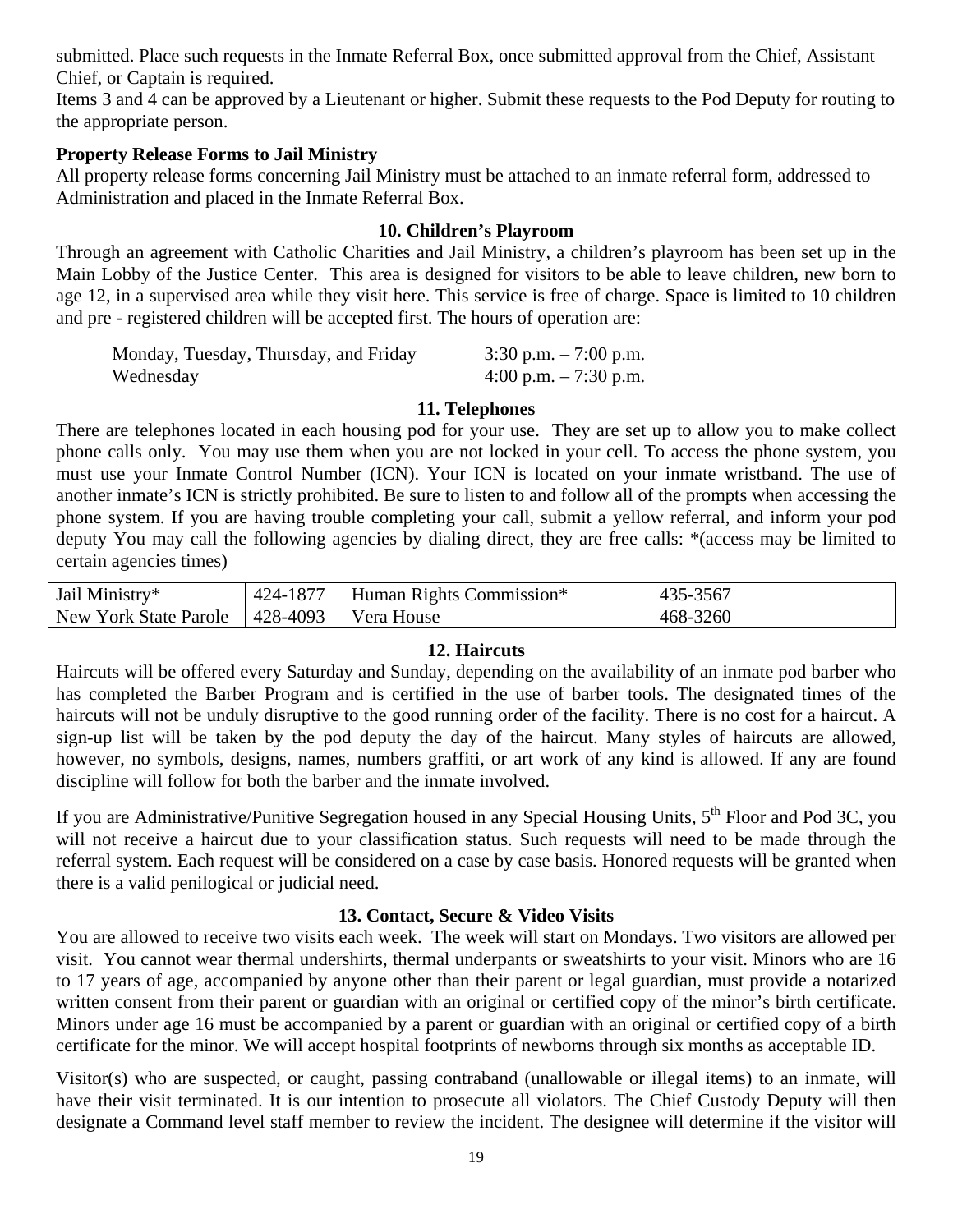submitted. Place such requests in the Inmate Referral Box, once submitted approval from the Chief, Assistant Chief, or Captain is required.

Items 3 and 4 can be approved by a Lieutenant or higher. Submit these requests to the Pod Deputy for routing to the appropriate person.

#### **Property Release Forms to Jail Ministry**

All property release forms concerning Jail Ministry must be attached to an inmate referral form, addressed to Administration and placed in the Inmate Referral Box.

## **10. Children's Playroom**

Through an agreement with Catholic Charities and Jail Ministry, a children's playroom has been set up in the Main Lobby of the Justice Center. This area is designed for visitors to be able to leave children, new born to age 12, in a supervised area while they visit here. This service is free of charge. Space is limited to 10 children and pre - registered children will be accepted first. The hours of operation are:

| Monday, Tuesday, Thursday, and Friday | $3:30$ p.m. $-7:00$ p.m. |
|---------------------------------------|--------------------------|
| Wednesday                             | $4:00$ p.m. $-7:30$ p.m. |

#### **11. Telephones**

There are telephones located in each housing pod for your use. They are set up to allow you to make collect phone calls only. You may use them when you are not locked in your cell. To access the phone system, you must use your Inmate Control Number (ICN). Your ICN is located on your inmate wristband. The use of another inmate's ICN is strictly prohibited. Be sure to listen to and follow all of the prompts when accessing the phone system. If you are having trouble completing your call, submit a yellow referral, and inform your pod deputy You may call the following agencies by dialing direct, they are free calls: \*(access may be limited to certain agencies times)

| Jail Ministry*        | 424-1877 | Human Rights Commission* | 435-3567 |
|-----------------------|----------|--------------------------|----------|
| New York State Parole | 428-4093 | Vera House               | 468-3260 |

#### **12. Haircuts**

Haircuts will be offered every Saturday and Sunday, depending on the availability of an inmate pod barber who has completed the Barber Program and is certified in the use of barber tools. The designated times of the haircuts will not be unduly disruptive to the good running order of the facility. There is no cost for a haircut. A sign-up list will be taken by the pod deputy the day of the haircut. Many styles of haircuts are allowed, however, no symbols, designs, names, numbers graffiti, or art work of any kind is allowed. If any are found discipline will follow for both the barber and the inmate involved.

If you are Administrative/Punitive Segregation housed in any Special Housing Units, 5<sup>th</sup> Floor and Pod 3C, you will not receive a haircut due to your classification status. Such requests will need to be made through the referral system. Each request will be considered on a case by case basis. Honored requests will be granted when there is a valid penilogical or judicial need.

## **13. Contact, Secure & Video Visits**

You are allowed to receive two visits each week. The week will start on Mondays. Two visitors are allowed per visit. You cannot wear thermal undershirts, thermal underpants or sweatshirts to your visit. Minors who are 16 to 17 years of age, accompanied by anyone other than their parent or legal guardian, must provide a notarized written consent from their parent or guardian with an original or certified copy of the minor's birth certificate. Minors under age 16 must be accompanied by a parent or guardian with an original or certified copy of a birth certificate for the minor. We will accept hospital footprints of newborns through six months as acceptable ID.

Visitor(s) who are suspected, or caught, passing contraband (unallowable or illegal items) to an inmate, will have their visit terminated. It is our intention to prosecute all violators. The Chief Custody Deputy will then designate a Command level staff member to review the incident. The designee will determine if the visitor will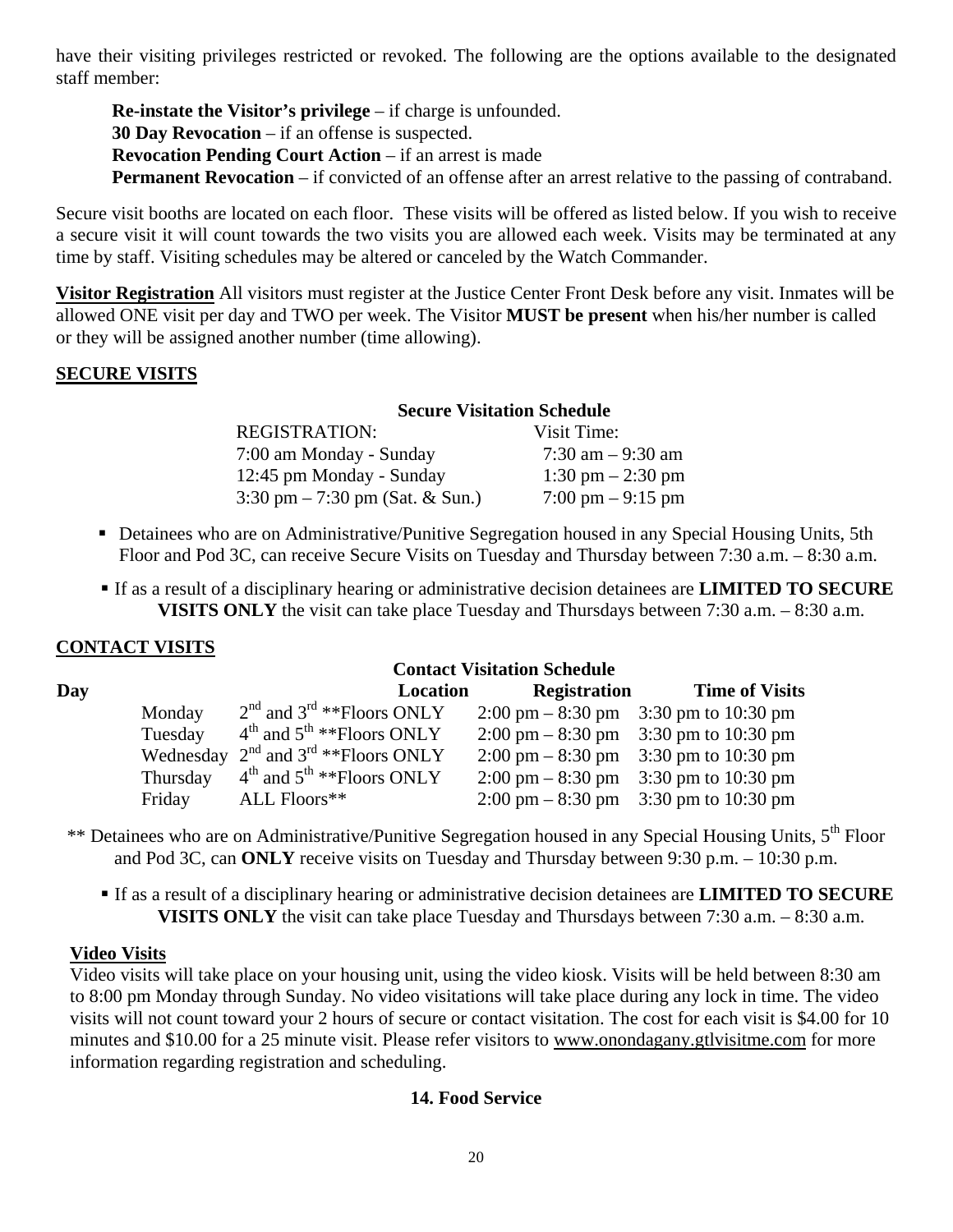have their visiting privileges restricted or revoked. The following are the options available to the designated staff member:

**Re-instate the Visitor's privilege** – if charge is unfounded. **30 Day Revocation** – if an offense is suspected. **Revocation Pending Court Action** – if an arrest is made **Permanent Revocation** – if convicted of an offense after an arrest relative to the passing of contraband.

Secure visit booths are located on each floor. These visits will be offered as listed below. If you wish to receive a secure visit it will count towards the two visits you are allowed each week. Visits may be terminated at any time by staff. Visiting schedules may be altered or canceled by the Watch Commander.

**Visitor Registration** All visitors must register at the Justice Center Front Desk before any visit. Inmates will be allowed ONE visit per day and TWO per week. The Visitor **MUST be present** when his/her number is called or they will be assigned another number (time allowing).

## **SECURE VISITS**

## **Secure Visitation Schedule**

| <b>REGISTRATION:</b>                              | Visit Time:                         |
|---------------------------------------------------|-------------------------------------|
| 7:00 am Monday - Sunday                           | 7:30 am $-9:30$ am                  |
| 12:45 pm Monday - Sunday                          | 1:30 pm $- 2:30$ pm                 |
| $3:30 \text{ pm} - 7:30 \text{ pm}$ (Sat. & Sun.) | $7:00 \text{ pm} - 9:15 \text{ pm}$ |

- Detainees who are on Administrative/Punitive Segregation housed in any Special Housing Units, 5th Floor and Pod 3C, can receive Secure Visits on Tuesday and Thursday between 7:30 a.m. – 8:30 a.m.
- If as a result of a disciplinary hearing or administrative decision detainees are **LIMITED TO SECURE VISITS ONLY** the visit can take place Tuesday and Thursdays between 7:30 a.m. – 8:30 a.m.

## **CONTACT VISITS**

|     | <b>Contact Visitation Schedule</b> |                                                   |          |                     |                                                         |
|-----|------------------------------------|---------------------------------------------------|----------|---------------------|---------------------------------------------------------|
| Day |                                    |                                                   | Location | <b>Registration</b> | <b>Time of Visits</b>                                   |
|     | Monday                             | $2nd$ and $3rd * *Floors ONLY$                    |          |                     | 2:00 pm $-8:30$ pm 3:30 pm to 10:30 pm                  |
|     | Tuesday                            | $4th$ and $5th$ **Floors ONLY                     |          |                     | 2:00 pm $-8:30$ pm 3:30 pm to 10:30 pm                  |
|     |                                    | Wednesday $2^{nd}$ and $3^{rd}$ **Floors ONLY     |          |                     | $2:00 \text{ pm} - 8:30 \text{ pm}$ 3:30 pm to 10:30 pm |
|     | Thursday                           | $4^{\text{th}}$ and $5^{\text{th}}$ **Floors ONLY |          |                     | $2:00 \text{ pm} - 8:30 \text{ pm}$ 3:30 pm to 10:30 pm |
|     | Friday                             | ALL Floors**                                      |          |                     | 2:00 pm $-8:30$ pm 3:30 pm to 10:30 pm                  |

- \*\* Detainees who are on Administrative/Punitive Segregation housed in any Special Housing Units, 5<sup>th</sup> Floor and Pod 3C, can **ONLY** receive visits on Tuesday and Thursday between 9:30 p.m. – 10:30 p.m.
	- If as a result of a disciplinary hearing or administrative decision detainees are **LIMITED TO SECURE VISITS ONLY** the visit can take place Tuesday and Thursdays between 7:30 a.m. – 8:30 a.m.

## **Video Visits**

Video visits will take place on your housing unit, using the video kiosk. Visits will be held between 8:30 am to 8:00 pm Monday through Sunday. No video visitations will take place during any lock in time. The video visits will not count toward your 2 hours of secure or contact visitation. The cost for each visit is \$4.00 for 10 minutes and \$10.00 for a 25 minute visit. Please refer visitors to www.onondagany.gtlyisitme.com for more information regarding registration and scheduling.

## **14. Food Service**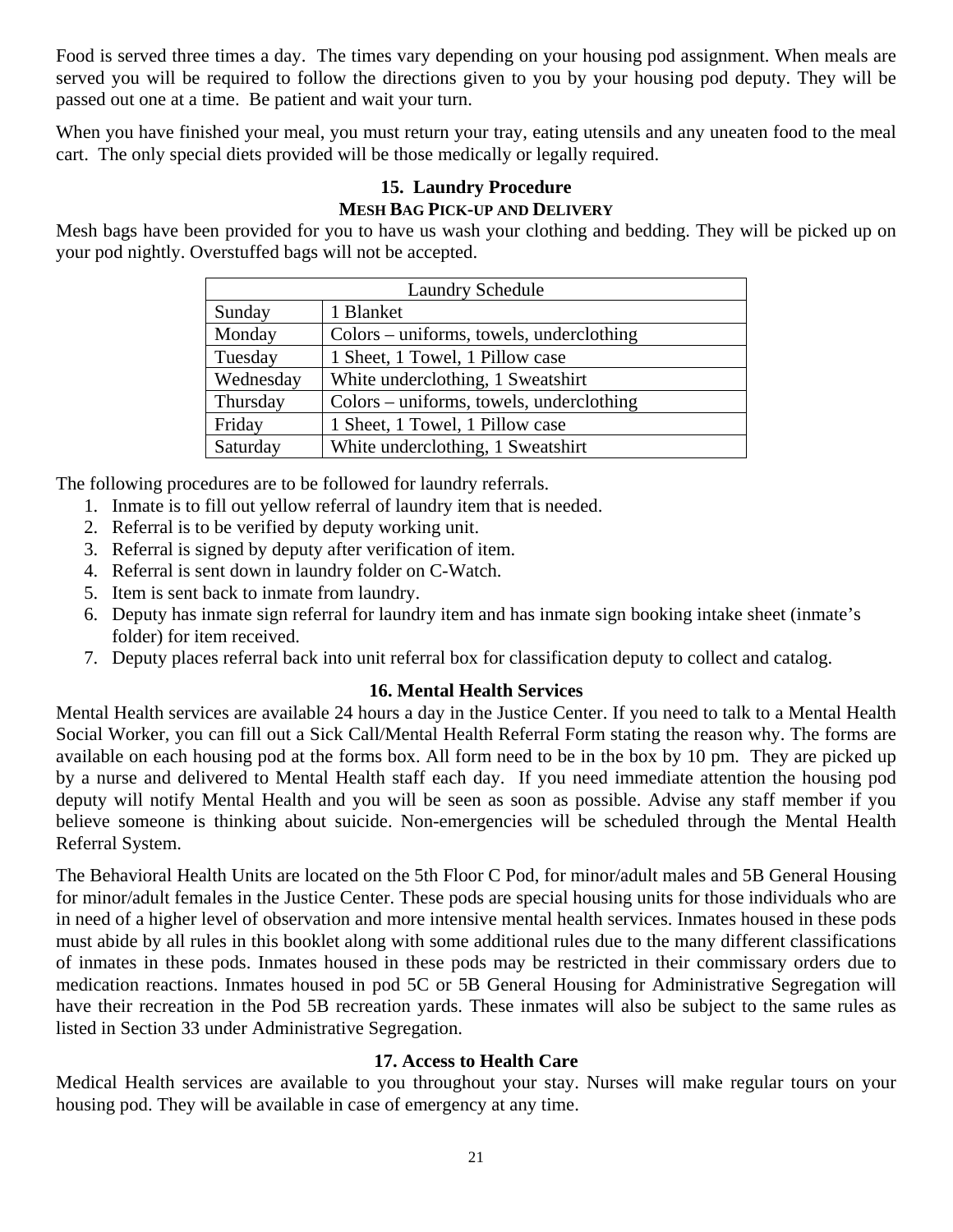Food is served three times a day. The times vary depending on your housing pod assignment. When meals are served you will be required to follow the directions given to you by your housing pod deputy. They will be passed out one at a time. Be patient and wait your turn.

When you have finished your meal, you must return your tray, eating utensils and any uneaten food to the meal cart. The only special diets provided will be those medically or legally required.

#### **15. Laundry Procedure MESH BAG PICK-UP AND DELIVERY**

Mesh bags have been provided for you to have us wash your clothing and bedding. They will be picked up on your pod nightly. Overstuffed bags will not be accepted.

| <b>Laundry Schedule</b> |                                          |  |
|-------------------------|------------------------------------------|--|
| Sunday                  | 1 Blanket                                |  |
| Monday                  | Colors – uniforms, towels, underclothing |  |
| Tuesday                 | 1 Sheet, 1 Towel, 1 Pillow case          |  |
| Wednesday               | White underclothing, 1 Sweatshirt        |  |
| Thursday                | Colors – uniforms, towels, underclothing |  |
| Friday                  | 1 Sheet, 1 Towel, 1 Pillow case          |  |
| Saturday                | White underclothing, 1 Sweatshirt        |  |

The following procedures are to be followed for laundry referrals.

- 1. Inmate is to fill out yellow referral of laundry item that is needed.
- 2. Referral is to be verified by deputy working unit.
- 3. Referral is signed by deputy after verification of item.
- 4. Referral is sent down in laundry folder on C-Watch.
- 5. Item is sent back to inmate from laundry.
- 6. Deputy has inmate sign referral for laundry item and has inmate sign booking intake sheet (inmate's folder) for item received.
- 7. Deputy places referral back into unit referral box for classification deputy to collect and catalog.

## **16. Mental Health Services**

Mental Health services are available 24 hours a day in the Justice Center. If you need to talk to a Mental Health Social Worker, you can fill out a Sick Call/Mental Health Referral Form stating the reason why. The forms are available on each housing pod at the forms box. All form need to be in the box by 10 pm. They are picked up by a nurse and delivered to Mental Health staff each day. If you need immediate attention the housing pod deputy will notify Mental Health and you will be seen as soon as possible. Advise any staff member if you believe someone is thinking about suicide. Non-emergencies will be scheduled through the Mental Health Referral System.

The Behavioral Health Units are located on the 5th Floor C Pod, for minor/adult males and 5B General Housing for minor/adult females in the Justice Center. These pods are special housing units for those individuals who are in need of a higher level of observation and more intensive mental health services. Inmates housed in these pods must abide by all rules in this booklet along with some additional rules due to the many different classifications of inmates in these pods. Inmates housed in these pods may be restricted in their commissary orders due to medication reactions. Inmates housed in pod 5C or 5B General Housing for Administrative Segregation will have their recreation in the Pod 5B recreation yards. These inmates will also be subject to the same rules as listed in Section 33 under Administrative Segregation.

## **17. Access to Health Care**

Medical Health services are available to you throughout your stay. Nurses will make regular tours on your housing pod. They will be available in case of emergency at any time.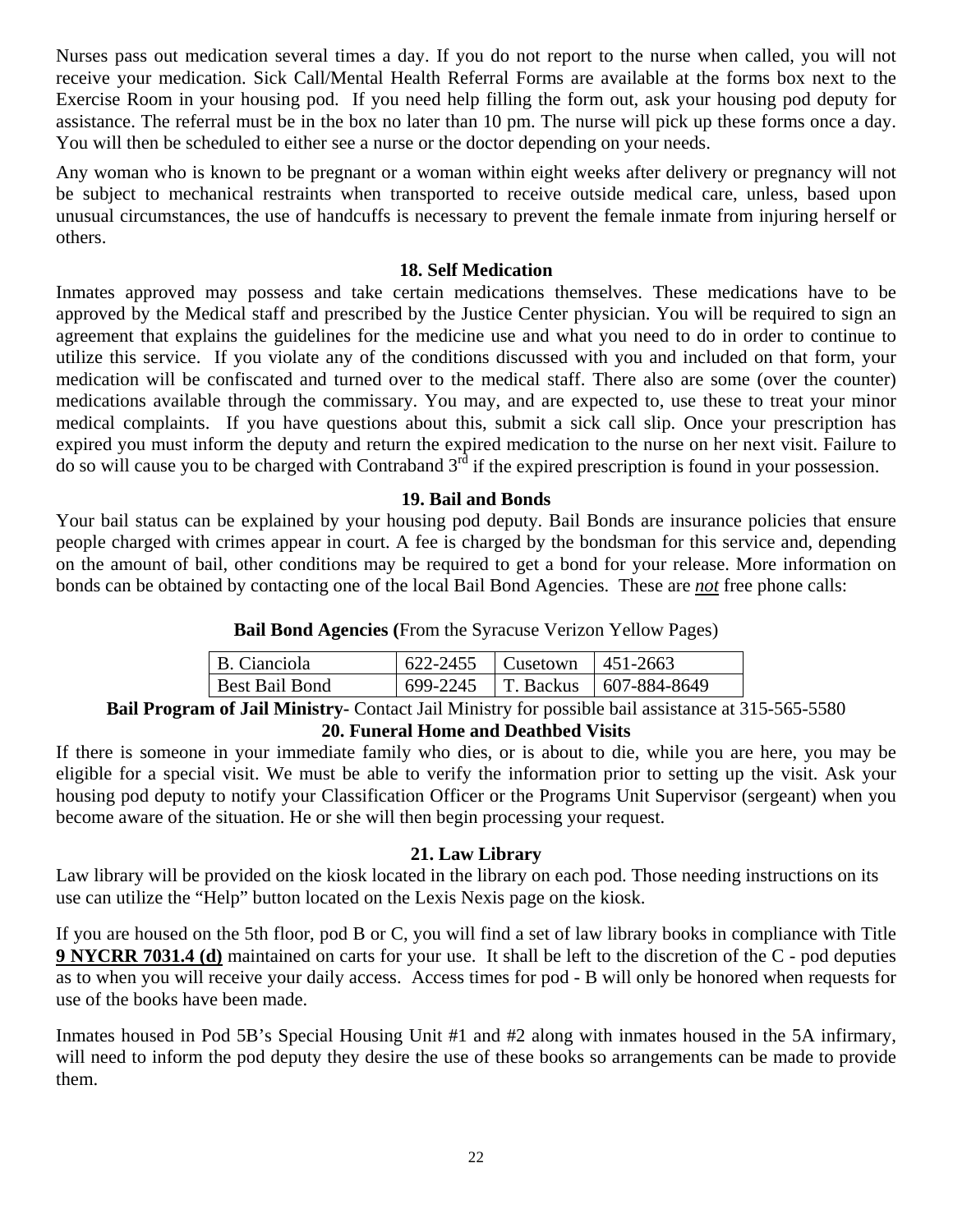Nurses pass out medication several times a day. If you do not report to the nurse when called, you will not receive your medication. Sick Call/Mental Health Referral Forms are available at the forms box next to the Exercise Room in your housing pod. If you need help filling the form out, ask your housing pod deputy for assistance. The referral must be in the box no later than 10 pm. The nurse will pick up these forms once a day. You will then be scheduled to either see a nurse or the doctor depending on your needs.

Any woman who is known to be pregnant or a woman within eight weeks after delivery or pregnancy will not be subject to mechanical restraints when transported to receive outside medical care, unless, based upon unusual circumstances, the use of handcuffs is necessary to prevent the female inmate from injuring herself or others.

#### **18. Self Medication**

Inmates approved may possess and take certain medications themselves. These medications have to be approved by the Medical staff and prescribed by the Justice Center physician. You will be required to sign an agreement that explains the guidelines for the medicine use and what you need to do in order to continue to utilize this service. If you violate any of the conditions discussed with you and included on that form, your medication will be confiscated and turned over to the medical staff. There also are some (over the counter) medications available through the commissary. You may, and are expected to, use these to treat your minor medical complaints. If you have questions about this, submit a sick call slip. Once your prescription has expired you must inform the deputy and return the expired medication to the nurse on her next visit. Failure to do so will cause you to be charged with Contraband  $3<sup>rd</sup>$  if the expired prescription is found in your possession.

#### **19. Bail and Bonds**

Your bail status can be explained by your housing pod deputy. Bail Bonds are insurance policies that ensure people charged with crimes appear in court. A fee is charged by the bondsman for this service and, depending on the amount of bail, other conditions may be required to get a bond for your release. More information on bonds can be obtained by contacting one of the local Bail Bond Agencies. These are *not* free phone calls:

**Bail Bond Agencies (**From the Syracuse Verizon Yellow Pages)

| B. Cianciola          | $1622-2455$ Cusetown   451-2663 |                                     |
|-----------------------|---------------------------------|-------------------------------------|
| <b>Best Bail Bond</b> |                                 | 699-2245   T. Backus   607-884-8649 |

**Bail Program of Jail Ministry-** Contact Jail Ministry for possible bail assistance at 315-565-5580 **20. Funeral Home and Deathbed Visits** 

If there is someone in your immediate family who dies, or is about to die, while you are here, you may be eligible for a special visit. We must be able to verify the information prior to setting up the visit. Ask your housing pod deputy to notify your Classification Officer or the Programs Unit Supervisor (sergeant) when you become aware of the situation. He or she will then begin processing your request.

#### **21. Law Library**

Law library will be provided on the kiosk located in the library on each pod. Those needing instructions on its use can utilize the "Help" button located on the Lexis Nexis page on the kiosk.

If you are housed on the 5th floor, pod B or C, you will find a set of law library books in compliance with Title **9 NYCRR 7031.4 (d)** maintained on carts for your use. It shall be left to the discretion of the C - pod deputies as to when you will receive your daily access. Access times for pod - B will only be honored when requests for use of the books have been made.

Inmates housed in Pod 5B's Special Housing Unit #1 and #2 along with inmates housed in the 5A infirmary, will need to inform the pod deputy they desire the use of these books so arrangements can be made to provide them.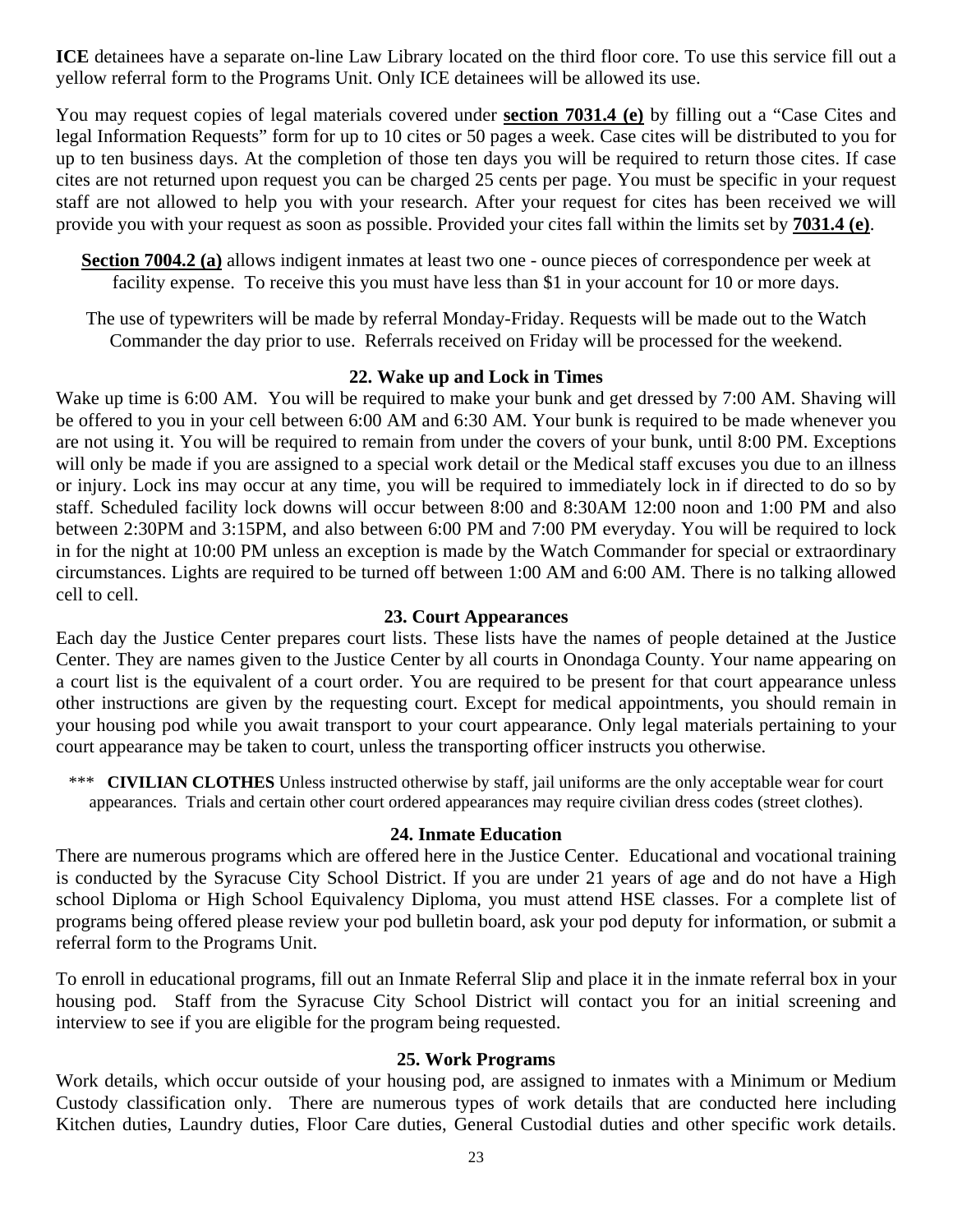**ICE** detainees have a separate on-line Law Library located on the third floor core. To use this service fill out a yellow referral form to the Programs Unit. Only ICE detainees will be allowed its use.

You may request copies of legal materials covered under **section 7031.4 (e)** by filling out a "Case Cites and legal Information Requests" form for up to 10 cites or 50 pages a week. Case cites will be distributed to you for up to ten business days. At the completion of those ten days you will be required to return those cites. If case cites are not returned upon request you can be charged 25 cents per page. You must be specific in your request staff are not allowed to help you with your research. After your request for cites has been received we will provide you with your request as soon as possible. Provided your cites fall within the limits set by **7031.4 (e)**.

**Section 7004.2 (a)** allows indigent inmates at least two one - ounce pieces of correspondence per week at facility expense. To receive this you must have less than \$1 in your account for 10 or more days.

The use of typewriters will be made by referral Monday-Friday. Requests will be made out to the Watch Commander the day prior to use. Referrals received on Friday will be processed for the weekend.

#### **22. Wake up and Lock in Times**

Wake up time is 6:00 AM. You will be required to make your bunk and get dressed by 7:00 AM. Shaving will be offered to you in your cell between 6:00 AM and 6:30 AM. Your bunk is required to be made whenever you are not using it. You will be required to remain from under the covers of your bunk, until 8:00 PM. Exceptions will only be made if you are assigned to a special work detail or the Medical staff excuses you due to an illness or injury. Lock ins may occur at any time, you will be required to immediately lock in if directed to do so by staff. Scheduled facility lock downs will occur between 8:00 and 8:30AM 12:00 noon and 1:00 PM and also between 2:30PM and 3:15PM, and also between 6:00 PM and 7:00 PM everyday. You will be required to lock in for the night at 10:00 PM unless an exception is made by the Watch Commander for special or extraordinary circumstances. Lights are required to be turned off between 1:00 AM and 6:00 AM. There is no talking allowed cell to cell.

#### **23. Court Appearances**

Each day the Justice Center prepares court lists. These lists have the names of people detained at the Justice Center. They are names given to the Justice Center by all courts in Onondaga County. Your name appearing on a court list is the equivalent of a court order. You are required to be present for that court appearance unless other instructions are given by the requesting court. Except for medical appointments, you should remain in your housing pod while you await transport to your court appearance. Only legal materials pertaining to your court appearance may be taken to court, unless the transporting officer instructs you otherwise.

\*\*\* **CIVILIAN CLOTHES** Unless instructed otherwise by staff, jail uniforms are the only acceptable wear for court appearances. Trials and certain other court ordered appearances may require civilian dress codes (street clothes).

#### **24. Inmate Education**

There are numerous programs which are offered here in the Justice Center. Educational and vocational training is conducted by the Syracuse City School District. If you are under 21 years of age and do not have a High school Diploma or High School Equivalency Diploma, you must attend HSE classes. For a complete list of programs being offered please review your pod bulletin board, ask your pod deputy for information, or submit a referral form to the Programs Unit.

To enroll in educational programs, fill out an Inmate Referral Slip and place it in the inmate referral box in your housing pod. Staff from the Syracuse City School District will contact you for an initial screening and interview to see if you are eligible for the program being requested.

#### **25. Work Programs**

Work details, which occur outside of your housing pod, are assigned to inmates with a Minimum or Medium Custody classification only. There are numerous types of work details that are conducted here including Kitchen duties, Laundry duties, Floor Care duties, General Custodial duties and other specific work details.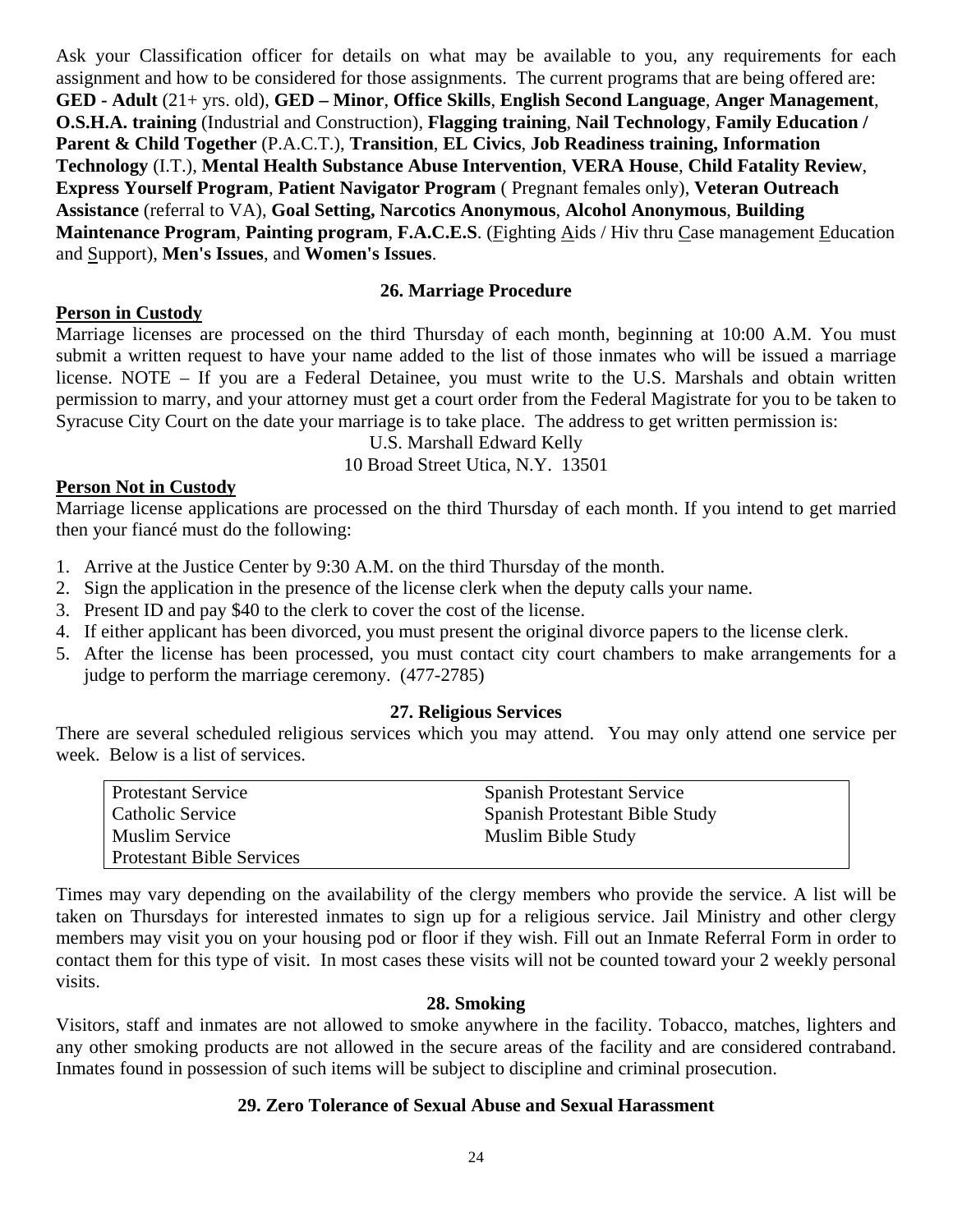Ask your Classification officer for details on what may be available to you, any requirements for each assignment and how to be considered for those assignments. The current programs that are being offered are: **GED - Adult** (21+ yrs. old), **GED – Minor**, **Office Skills**, **English Second Language**, **Anger Management**, **O.S.H.A. training** (Industrial and Construction), **Flagging training**, **Nail Technology**, **Family Education / Parent & Child Together** (P.A.C.T.), **Transition**, **EL Civics**, **Job Readiness training, Information Technology** (I.T.), **Mental Health Substance Abuse Intervention**, **VERA House**, **Child Fatality Review**, **Express Yourself Program**, **Patient Navigator Program** ( Pregnant females only), **Veteran Outreach Assistance** (referral to VA), **Goal Setting, Narcotics Anonymous**, **Alcohol Anonymous**, **Building Maintenance Program**, **Painting program**, **F.A.C.E.S**. (Fighting Aids / Hiv thru Case management Education and Support), **Men's Issues**, and **Women's Issues**.

#### **26. Marriage Procedure**

## **Person in Custody**

Marriage licenses are processed on the third Thursday of each month, beginning at 10:00 A.M. You must submit a written request to have your name added to the list of those inmates who will be issued a marriage license. NOTE – If you are a Federal Detainee, you must write to the U.S. Marshals and obtain written permission to marry, and your attorney must get a court order from the Federal Magistrate for you to be taken to Syracuse City Court on the date your marriage is to take place. The address to get written permission is:

U.S. Marshall Edward Kelly

10 Broad Street Utica, N.Y. 13501

## **Person Not in Custody**

Marriage license applications are processed on the third Thursday of each month. If you intend to get married then your fiancé must do the following:

- 1. Arrive at the Justice Center by 9:30 A.M. on the third Thursday of the month.
- 2. Sign the application in the presence of the license clerk when the deputy calls your name.
- 3. Present ID and pay \$40 to the clerk to cover the cost of the license.
- 4. If either applicant has been divorced, you must present the original divorce papers to the license clerk.
- 5. After the license has been processed, you must contact city court chambers to make arrangements for a judge to perform the marriage ceremony. (477-2785)

#### **27. Religious Services**

There are several scheduled religious services which you may attend. You may only attend one service per week. Below is a list of services.

| <b>Protestant Service</b>        | <b>Spanish Protestant Service</b> |
|----------------------------------|-----------------------------------|
| Catholic Service                 | Spanish Protestant Bible Study    |
| <b>Muslim Service</b>            | Muslim Bible Study                |
| <b>Protestant Bible Services</b> |                                   |

Times may vary depending on the availability of the clergy members who provide the service. A list will be taken on Thursdays for interested inmates to sign up for a religious service. Jail Ministry and other clergy members may visit you on your housing pod or floor if they wish. Fill out an Inmate Referral Form in order to contact them for this type of visit. In most cases these visits will not be counted toward your 2 weekly personal visits.

#### **28. Smoking**

Visitors, staff and inmates are not allowed to smoke anywhere in the facility. Tobacco, matches, lighters and any other smoking products are not allowed in the secure areas of the facility and are considered contraband. Inmates found in possession of such items will be subject to discipline and criminal prosecution.

#### **29. Zero Tolerance of Sexual Abuse and Sexual Harassment**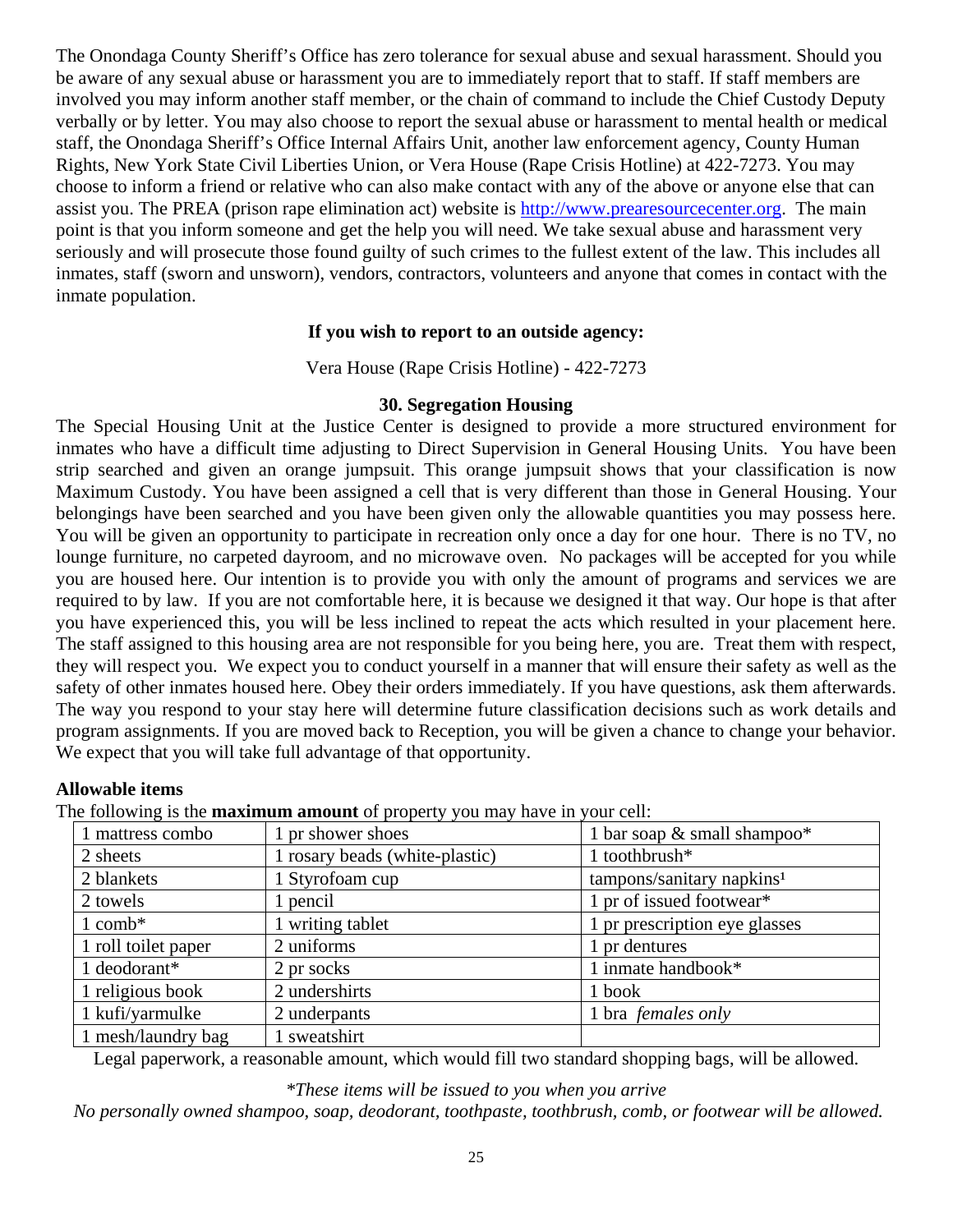The Onondaga County Sheriff's Office has zero tolerance for sexual abuse and sexual harassment. Should you be aware of any sexual abuse or harassment you are to immediately report that to staff. If staff members are involved you may inform another staff member, or the chain of command to include the Chief Custody Deputy verbally or by letter. You may also choose to report the sexual abuse or harassment to mental health or medical staff, the Onondaga Sheriff's Office Internal Affairs Unit, another law enforcement agency, County Human Rights, New York State Civil Liberties Union, or Vera House (Rape Crisis Hotline) at 422-7273. You may choose to inform a friend or relative who can also make contact with any of the above or anyone else that can assist you. The PREA (prison rape elimination act) website is http://www.prearesourcecenter.org. The main point is that you inform someone and get the help you will need. We take sexual abuse and harassment very seriously and will prosecute those found guilty of such crimes to the fullest extent of the law. This includes all inmates, staff (sworn and unsworn), vendors, contractors, volunteers and anyone that comes in contact with the inmate population.

## **If you wish to report to an outside agency:**

Vera House (Rape Crisis Hotline) - 422-7273

#### **30. Segregation Housing**

The Special Housing Unit at the Justice Center is designed to provide a more structured environment for inmates who have a difficult time adjusting to Direct Supervision in General Housing Units. You have been strip searched and given an orange jumpsuit. This orange jumpsuit shows that your classification is now Maximum Custody. You have been assigned a cell that is very different than those in General Housing. Your belongings have been searched and you have been given only the allowable quantities you may possess here. You will be given an opportunity to participate in recreation only once a day for one hour. There is no TV, no lounge furniture, no carpeted dayroom, and no microwave oven. No packages will be accepted for you while you are housed here. Our intention is to provide you with only the amount of programs and services we are required to by law. If you are not comfortable here, it is because we designed it that way. Our hope is that after you have experienced this, you will be less inclined to repeat the acts which resulted in your placement here. The staff assigned to this housing area are not responsible for you being here, you are. Treat them with respect, they will respect you. We expect you to conduct yourself in a manner that will ensure their safety as well as the safety of other inmates housed here. Obey their orders immediately. If you have questions, ask them afterwards. The way you respond to your stay here will determine future classification decisions such as work details and program assignments. If you are moved back to Reception, you will be given a chance to change your behavior. We expect that you will take full advantage of that opportunity.

#### **Allowable items**

The following is the **maximum amount** of property you may have in your cell:

| 1 mattress combo    | 1 pr shower shoes              | 1 bar soap $\&$ small shampoo*        |  |
|---------------------|--------------------------------|---------------------------------------|--|
| 2 sheets            | 1 rosary beads (white-plastic) | 1 toothbrush*                         |  |
| 2 blankets          | 1 Styrofoam cup                | tampons/sanitary napkins <sup>1</sup> |  |
| 2 towels            | 1 pencil                       | 1 pr of issued footwear*              |  |
| $1$ comb*           | 1 writing tablet               | 1 pr prescription eye glasses         |  |
| 1 roll toilet paper | 2 uniforms                     | 1 pr dentures                         |  |
| 1 deodorant*        | 2 pr socks                     | 1 inmate handbook*                    |  |
| 1 religious book    | 2 undershirts                  | 1 book                                |  |
| 1 kufi/yarmulke     | 2 underpants                   | 1 bra females only                    |  |
| 1 mesh/laundry bag  | sweatshirt                     |                                       |  |

Legal paperwork, a reasonable amount, which would fill two standard shopping bags, will be allowed.

*\*These items will be issued to you when you arrive* 

 *No personally owned shampoo, soap, deodorant, toothpaste, toothbrush, comb, or footwear will be allowed.*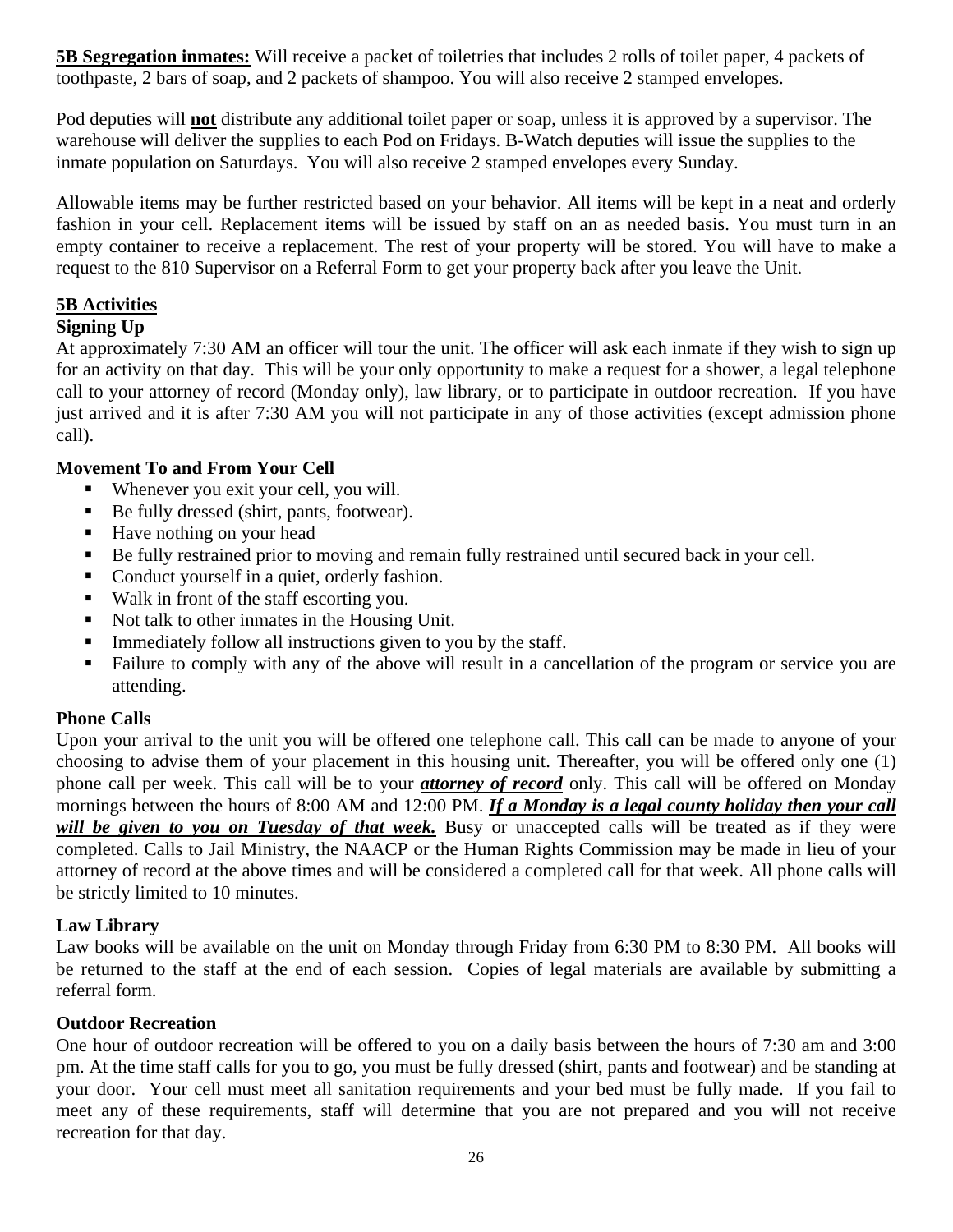**5B Segregation inmates:** Will receive a packet of toiletries that includes 2 rolls of toilet paper, 4 packets of toothpaste, 2 bars of soap, and 2 packets of shampoo. You will also receive 2 stamped envelopes.

Pod deputies will **not** distribute any additional toilet paper or soap, unless it is approved by a supervisor. The warehouse will deliver the supplies to each Pod on Fridays. B-Watch deputies will issue the supplies to the inmate population on Saturdays. You will also receive 2 stamped envelopes every Sunday.

Allowable items may be further restricted based on your behavior. All items will be kept in a neat and orderly fashion in your cell. Replacement items will be issued by staff on an as needed basis. You must turn in an empty container to receive a replacement. The rest of your property will be stored. You will have to make a request to the 810 Supervisor on a Referral Form to get your property back after you leave the Unit.

## **5B Activities**

## **Signing Up**

At approximately 7:30 AM an officer will tour the unit. The officer will ask each inmate if they wish to sign up for an activity on that day. This will be your only opportunity to make a request for a shower, a legal telephone call to your attorney of record (Monday only), law library, or to participate in outdoor recreation. If you have just arrived and it is after 7:30 AM you will not participate in any of those activities (except admission phone call).

## **Movement To and From Your Cell**

- Whenever you exit your cell, you will.
- Be fully dressed (shirt, pants, footwear).
- Have nothing on your head
- Be fully restrained prior to moving and remain fully restrained until secured back in your cell.
- Conduct yourself in a quiet, orderly fashion.
- Walk in front of the staff escorting you.
- Not talk to other inmates in the Housing Unit.
- Immediately follow all instructions given to you by the staff.
- Failure to comply with any of the above will result in a cancellation of the program or service you are attending.

## **Phone Calls**

Upon your arrival to the unit you will be offered one telephone call. This call can be made to anyone of your choosing to advise them of your placement in this housing unit. Thereafter, you will be offered only one (1) phone call per week. This call will be to your *attorney of record* only. This call will be offered on Monday mornings between the hours of 8:00 AM and 12:00 PM. *If a Monday is a legal county holiday then your call will be given to you on Tuesday of that week.* Busy or unaccepted calls will be treated as if they were completed. Calls to Jail Ministry, the NAACP or the Human Rights Commission may be made in lieu of your attorney of record at the above times and will be considered a completed call for that week. All phone calls will be strictly limited to 10 minutes.

## **Law Library**

Law books will be available on the unit on Monday through Friday from 6:30 PM to 8:30 PM. All books will be returned to the staff at the end of each session. Copies of legal materials are available by submitting a referral form.

## **Outdoor Recreation**

One hour of outdoor recreation will be offered to you on a daily basis between the hours of 7:30 am and 3:00 pm. At the time staff calls for you to go, you must be fully dressed (shirt, pants and footwear) and be standing at your door. Your cell must meet all sanitation requirements and your bed must be fully made. If you fail to meet any of these requirements, staff will determine that you are not prepared and you will not receive recreation for that day.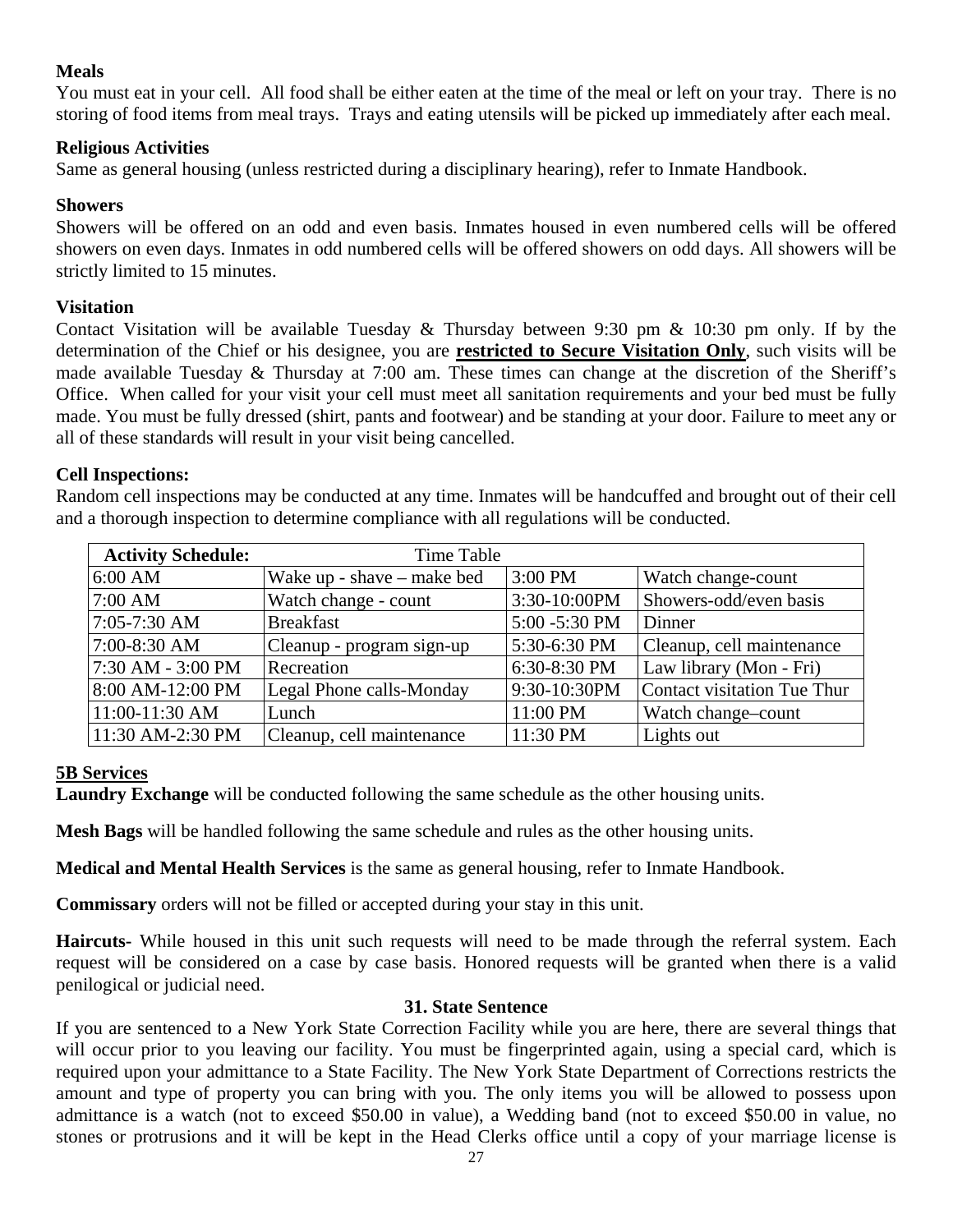## **Meals**

You must eat in your cell. All food shall be either eaten at the time of the meal or left on your tray. There is no storing of food items from meal trays. Trays and eating utensils will be picked up immediately after each meal.

#### **Religious Activities**

Same as general housing (unless restricted during a disciplinary hearing), refer to Inmate Handbook.

#### **Showers**

Showers will be offered on an odd and even basis. Inmates housed in even numbered cells will be offered showers on even days. Inmates in odd numbered cells will be offered showers on odd days. All showers will be strictly limited to 15 minutes.

#### **Visitation**

Contact Visitation will be available Tuesday & Thursday between 9:30 pm & 10:30 pm only. If by the determination of the Chief or his designee, you are **restricted to Secure Visitation Only**, such visits will be made available Tuesday & Thursday at 7:00 am. These times can change at the discretion of the Sheriff's Office. When called for your visit your cell must meet all sanitation requirements and your bed must be fully made. You must be fully dressed (shirt, pants and footwear) and be standing at your door. Failure to meet any or all of these standards will result in your visit being cancelled.

#### **Cell Inspections:**

Random cell inspections may be conducted at any time. Inmates will be handcuffed and brought out of their cell and a thorough inspection to determine compliance with all regulations will be conducted.

| <b>Activity Schedule:</b> | Time Table                 |               |                             |
|---------------------------|----------------------------|---------------|-----------------------------|
| 6:00 AM                   | Wake up - shave – make bed | 3:00 PM       | Watch change-count          |
| 7:00 AM                   | Watch change - count       | 3:30-10:00PM  | Showers-odd/even basis      |
| 7:05-7:30 AM              | <b>Breakfast</b>           | 5:00 -5:30 PM | Dinner                      |
| 7:00-8:30 AM              | Cleanup - program sign-up  | 5:30-6:30 PM  | Cleanup, cell maintenance   |
| 7:30 AM - 3:00 PM         | Recreation                 | 6:30-8:30 PM  | Law library (Mon - Fri)     |
| 8:00 AM-12:00 PM          | Legal Phone calls-Monday   | 9:30-10:30PM  | Contact visitation Tue Thur |
| 11:00-11:30 AM            | Lunch                      | 11:00 PM      | Watch change-count          |
| 11:30 AM-2:30 PM          | Cleanup, cell maintenance  | 11:30 PM      | Lights out                  |

## **5B Services**

**Laundry Exchange** will be conducted following the same schedule as the other housing units.

**Mesh Bags** will be handled following the same schedule and rules as the other housing units.

**Medical and Mental Health Services** is the same as general housing, refer to Inmate Handbook.

**Commissary** orders will not be filled or accepted during your stay in this unit.

**Haircuts-** While housed in this unit such requests will need to be made through the referral system. Each request will be considered on a case by case basis. Honored requests will be granted when there is a valid penilogical or judicial need.

#### **31. State Sentence**

If you are sentenced to a New York State Correction Facility while you are here, there are several things that will occur prior to you leaving our facility. You must be fingerprinted again, using a special card, which is required upon your admittance to a State Facility. The New York State Department of Corrections restricts the amount and type of property you can bring with you. The only items you will be allowed to possess upon admittance is a watch (not to exceed \$50.00 in value), a Wedding band (not to exceed \$50.00 in value, no stones or protrusions and it will be kept in the Head Clerks office until a copy of your marriage license is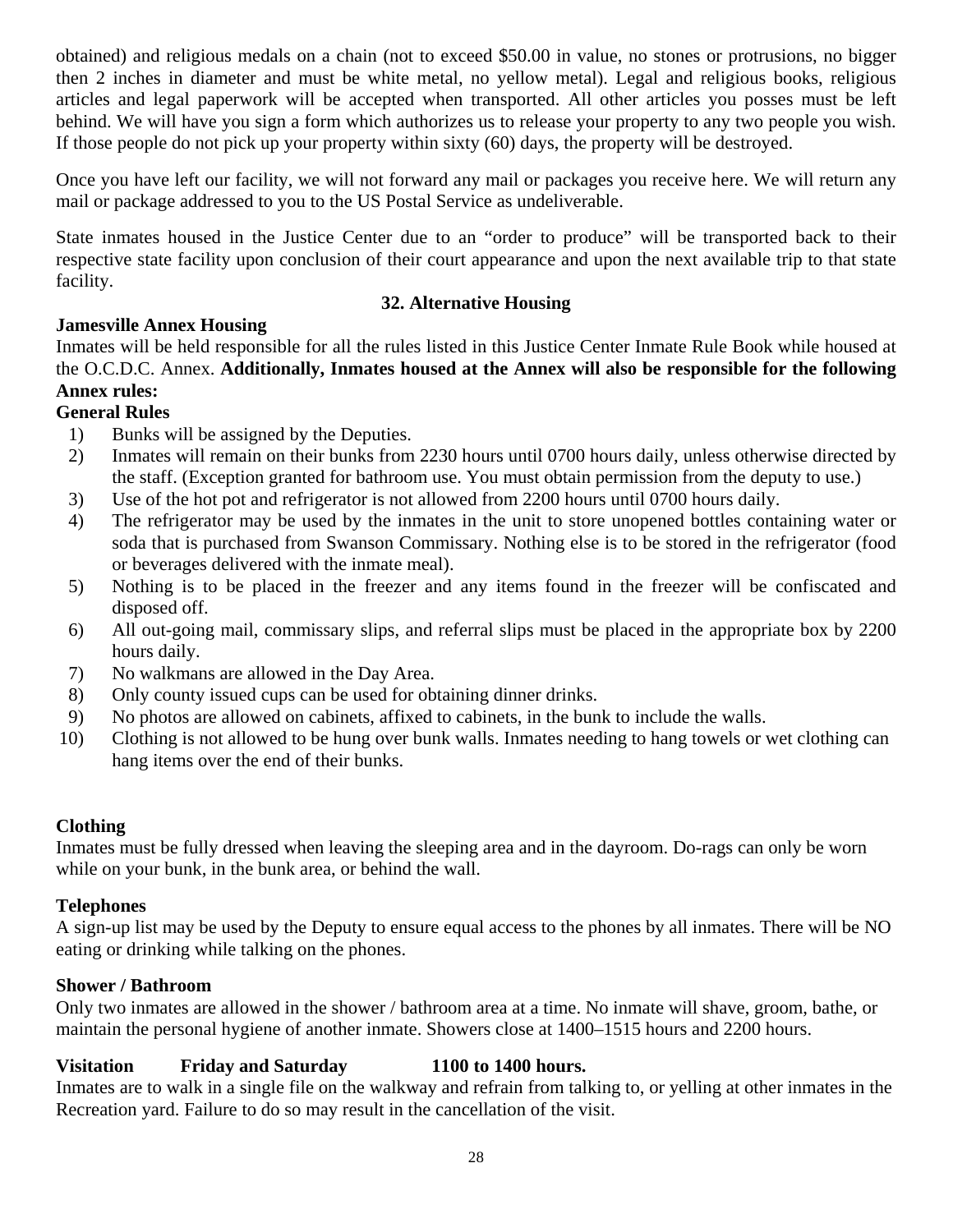obtained) and religious medals on a chain (not to exceed \$50.00 in value, no stones or protrusions, no bigger then 2 inches in diameter and must be white metal, no yellow metal). Legal and religious books, religious articles and legal paperwork will be accepted when transported. All other articles you posses must be left behind. We will have you sign a form which authorizes us to release your property to any two people you wish. If those people do not pick up your property within sixty (60) days, the property will be destroyed.

Once you have left our facility, we will not forward any mail or packages you receive here. We will return any mail or package addressed to you to the US Postal Service as undeliverable.

State inmates housed in the Justice Center due to an "order to produce" will be transported back to their respective state facility upon conclusion of their court appearance and upon the next available trip to that state facility.

## **32. Alternative Housing**

# **Jamesville Annex Housing**

Inmates will be held responsible for all the rules listed in this Justice Center Inmate Rule Book while housed at the O.C.D.C. Annex. **Additionally, Inmates housed at the Annex will also be responsible for the following Annex rules:** 

# **General Rules**

- 1) Bunks will be assigned by the Deputies.
- 2) Inmates will remain on their bunks from 2230 hours until 0700 hours daily, unless otherwise directed by the staff. (Exception granted for bathroom use. You must obtain permission from the deputy to use.)
- 3) Use of the hot pot and refrigerator is not allowed from 2200 hours until 0700 hours daily.
- 4) The refrigerator may be used by the inmates in the unit to store unopened bottles containing water or soda that is purchased from Swanson Commissary. Nothing else is to be stored in the refrigerator (food or beverages delivered with the inmate meal).
- 5) Nothing is to be placed in the freezer and any items found in the freezer will be confiscated and disposed off.
- 6) All out-going mail, commissary slips, and referral slips must be placed in the appropriate box by 2200 hours daily.
- 7) No walkmans are allowed in the Day Area.
- 8) Only county issued cups can be used for obtaining dinner drinks.
- 9) No photos are allowed on cabinets, affixed to cabinets, in the bunk to include the walls.
- 10) Clothing is not allowed to be hung over bunk walls. Inmates needing to hang towels or wet clothing can hang items over the end of their bunks.

# **Clothing**

Inmates must be fully dressed when leaving the sleeping area and in the dayroom. Do-rags can only be worn while on your bunk, in the bunk area, or behind the wall.

# **Telephones**

A sign-up list may be used by the Deputy to ensure equal access to the phones by all inmates. There will be NO eating or drinking while talking on the phones.

# **Shower / Bathroom**

Only two inmates are allowed in the shower / bathroom area at a time. No inmate will shave, groom, bathe, or maintain the personal hygiene of another inmate. Showers close at 1400–1515 hours and 2200 hours.

# **Visitation Friday and Saturday 1100 to 1400 hours.**

Inmates are to walk in a single file on the walkway and refrain from talking to, or yelling at other inmates in the Recreation yard. Failure to do so may result in the cancellation of the visit.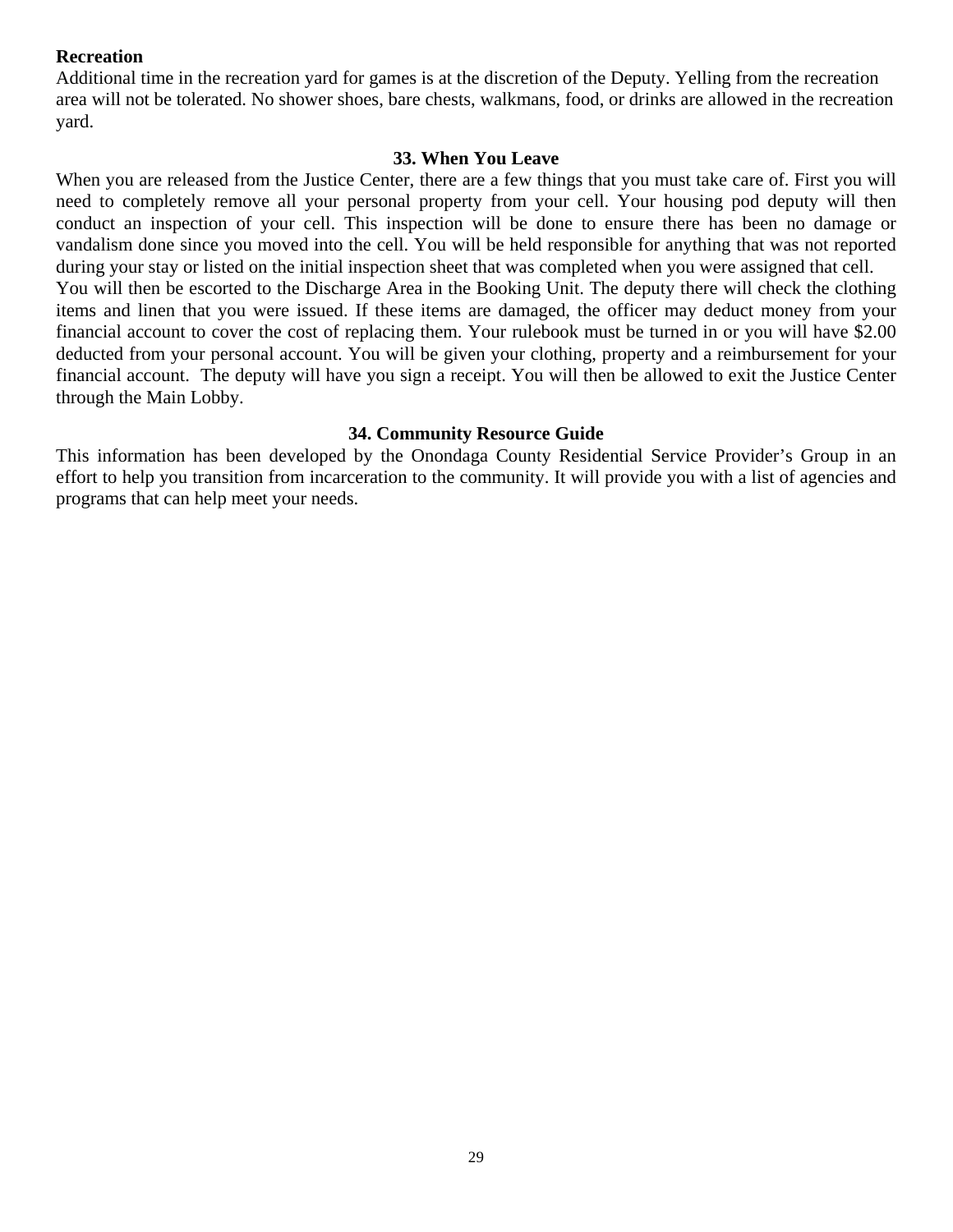#### **Recreation**

Additional time in the recreation yard for games is at the discretion of the Deputy. Yelling from the recreation area will not be tolerated. No shower shoes, bare chests, walkmans, food, or drinks are allowed in the recreation yard.

#### **33. When You Leave**

When you are released from the Justice Center, there are a few things that you must take care of. First you will need to completely remove all your personal property from your cell. Your housing pod deputy will then conduct an inspection of your cell. This inspection will be done to ensure there has been no damage or vandalism done since you moved into the cell. You will be held responsible for anything that was not reported during your stay or listed on the initial inspection sheet that was completed when you were assigned that cell. You will then be escorted to the Discharge Area in the Booking Unit. The deputy there will check the clothing items and linen that you were issued. If these items are damaged, the officer may deduct money from your financial account to cover the cost of replacing them. Your rulebook must be turned in or you will have \$2.00 deducted from your personal account. You will be given your clothing, property and a reimbursement for your financial account. The deputy will have you sign a receipt. You will then be allowed to exit the Justice Center through the Main Lobby.

#### **34. Community Resource Guide**

This information has been developed by the Onondaga County Residential Service Provider's Group in an effort to help you transition from incarceration to the community. It will provide you with a list of agencies and programs that can help meet your needs.